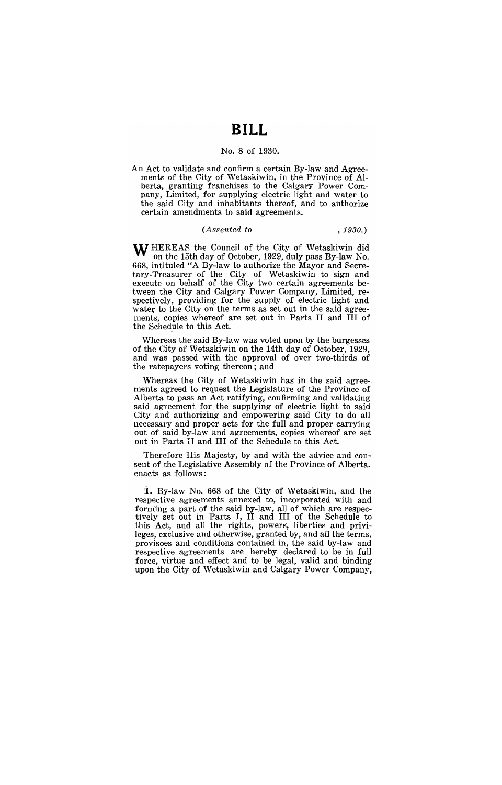# **BILL**

## No.8 of 1930.

An Act to validate and confirm a certain By-law and Agreements of the City of Wetaskiwin, in the Province of Alberta, granting franchises to the Calgary Power Company, Limited, for supplying electric light and water to the said City and inhabitants thereof, and to authorize certain amendments to said agreements.

#### (Assented to *, 1930.)*

WHEREAS the Council of the City of Wetaskiwin did on the 15th day of October, 1929, duly pass By-law No. 668, intituled "A By-law to authorize the Mayor and Secretary-Treasurer of the City of Wetaskiwin to sign and execute on behalf of the City two certain agreements between the City and Calgary Power Company, Limited, respectively, providing for the supply of electric light and water to the City on the terms as set out in the said agreements, copies whereof are set out in Parts II and **III** of the Schedule to this Act.

Whereas the said By-law was voted upon by the burgesses of the City of Wetaskiwin on the 14th day of October, 1929, and was passed with the approval of over two-thirds of the ratepayers voting thereon; and

Whereas the City of Wetaskiwin has in the said agreements agreed to request the Legislature of the Province of Alberta to pass an Act ratifying, confirming and validating said agreement for the supplying of electric light to said City and authorizing and empowering said City to do all necessary and proper acts for the full and proper carrying out of said by-law and agreements, copies whereof are set out in Parts II and **III** of the Schedule to this Act.

Therefore His Majesty, by and with the advice and consent of the Legislative Assembly of the Province of Alberta. enacts as follows:

**i.** By-law No. 668 of the City of Wetaskiwin, and the respective agreements annexed to, incorporated with and forming a part of the said by-law, all of which are respectively set out in Parts I, II and III of the Schedule to this Act, and all the rights, powers, liberties and privileges, exclusive and otherwise, granted by, and all the terms, provisoes and conditions contained in, the said by-law and respective agreements are hereby declared to be in full force, virtue and effect and to be legal, valid and binding upon the City of Wetaskiwin and Calgary Power Company,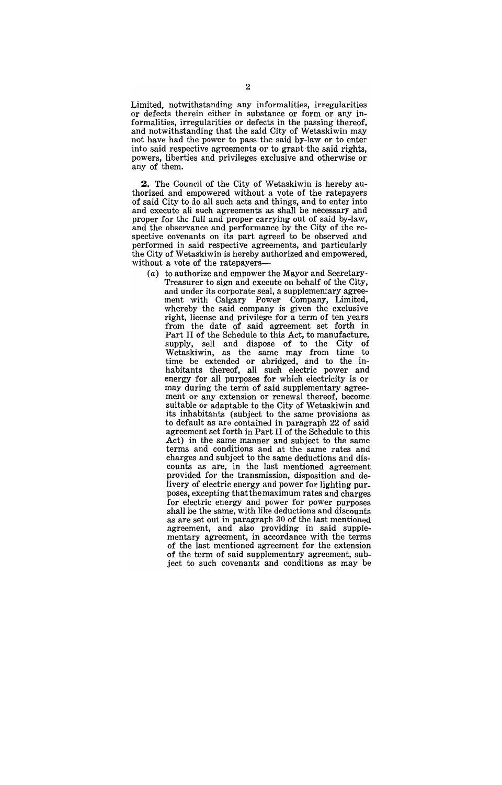Limited, notwithstanding any informalities, irregularities or defects therein either in substance or form or any informalities, irregularities or defeds in the passing thereof, and notwithstanding that the said City of Wetaskiwin may not have had the power to pass the said by-law or to enter into said respective agreements or to grant-the said rights, powers, liberties and privileges exclusive and otherwise or any of them.

**2.** The Council of the City of Wetaskiwin is hereby authorized and empowered without a vote of the ratepayers of said City to do all such acts and things, and to enter into and execute all such agreements as shall be necessary and proper for the full and proper carrying out of said by-law, and the observance and performance by the City of the respective covenants on its part agreed to be observed and performed in said respective agreements, and particularly the City of Wetaskiwin is hereby authorized and empowered, without a vote of the ratepayers-

(a) to authorize and empower the Mayor and Secretary-Treasurer to sign and execute on behalf of the City, and under its corporate seal, a supplementary agreement with Calgary Power Company, Limited, whereby the said company is given the exclusive right, license and privilege for a term of ten years from the date of said agreement set forth in Part II of the Schedule to this Act, to manufacture, supply, sell and dispose of to the City of Wetaskiwin, as the same may from time to time be extended or abridged, and to the inhabitants thereof, all such electric power and energy for all purposes for which electricity is or may during the term of said supplementary agreement or any extension or renewal thereof, become suitable or adaptable to the City of Wetaskiwin and its inhabitants (subject to the same provisions as to default as are contained in paragraph 22 of said agreement set forth in Part II of the Schedule to this Act) in the same manner and subject to the same terms and conditions and at the same rates and charges and subject to the same deductions and discounts as are, in the last mentioned agreement provided for the transmission, disposition and delivery of electric energy and power for lighting purposes, excepting that the maximum rates and charges for electric energy and power for power purposes shall be the same, with like deductions and discounts as are set out in paragraph 30 of the last mentioned agreement, and also providing in said supplementary agreement, in accordance with the terms of the last mentioned agreement for the extension of the term of said supplementary agreement, subject to such covenants' and conditions as may be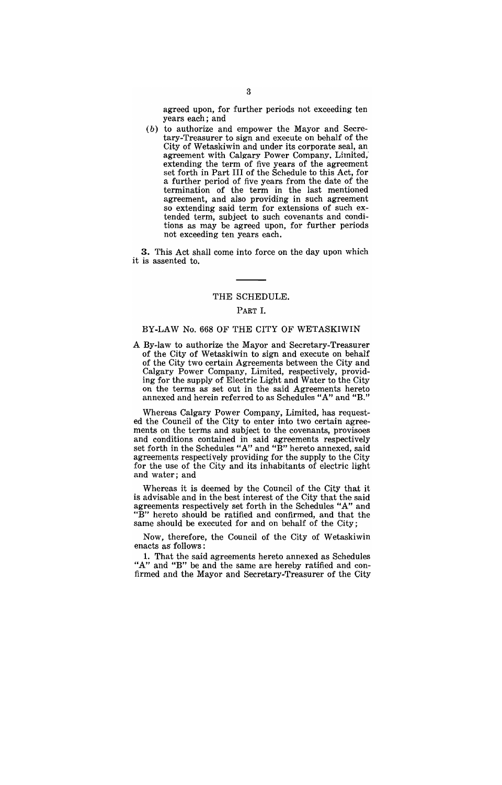agreed upon, for further periods not exceeding ten years each; and

(b) to authorize and empower the Mayor and Secretary-Treasurer to sign and execute on behalf of the City of Wetaskiwin and under its corporate seal, an agreement with Calgary Power Company. Limited,' extending the term of five years of the agreement set forth in Part III of the Schedule to this Act, for a further period of five years from the date of the termination of the term in the last mentioned agreement, and also providing in such agreement so extending said term for extensions of such extended term, subject to such covenants and conditions as may be agreed upon, for further periods not exceeding ten years each.

3. This Act shall come into force on the day upon which it is assented to.

#### THE SCHEDULE.

## PART I.

## BY-LAW No. 668 OF THE CITY OF WETASKIWIN

A By-law to authorize the Mayor and Secretary-Treasurer of the City of Wetaskiwin to sign and execute on behalf of the City two certain Agreements between the City and Calgary Power Company, Limited, respectively, providing for the supply of Electric Light and Water to the City on the terms as set out in the said Agreements hereto annexed and herein referred to as Schedules *"A"* and "B."

Whereas Calgary Power Company, Limited, has requested the Council of the City to enter into two certain agreements on the terms and subject to the covenants, provisoes and conditions contained in said agreements respectively set forth in the Schedules *"A"* and "B" hereto annexed, said agreements respectively providing for the supply to the City for the use of the City and its inhabitants of electric light and water; and

Whereas it is deemed by the Council of the City that it is advisable and in the best interest of the City that the said agreements respectively set forth in the Schedules "A" and "B" hereto should be ratified and confirmed, and that the same should be executed for and on behalf of the City;

Now, therefore, the Council of the City of Wetaskiwin enacts as follows:

1. That the said agreements hereto annexed as Schedules "A" and "B" be and the same are hereby ratified and confirmed and the Mayor and Secretary-Treasurer of the City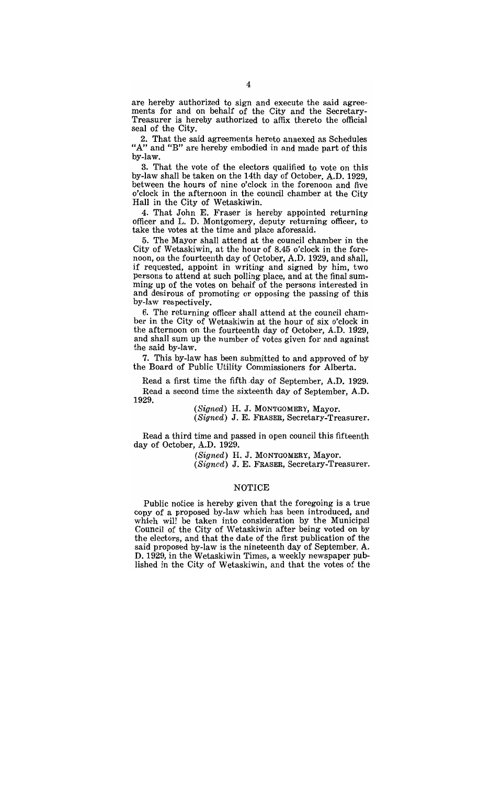are hereby authorized to sign and execute the said agreements for and on behalf of the City and the Secretary-Treasurer is hereby authorized to affix thereto the official seal of the City.

2. That the said agreements hereto annexed as Schedules "A" and "B" are hereby embodied in and made part of this bY-law.

3. That the vote of the electors qualified to vote on this by-law shall be taken on the 14th day of October, A.D. 1929, between the hours of nine o'clock in the forenoon and five o'clock in the afternoon in the council chamber at the City Hall in the City of Wetaskiwin.

4. That John E. Fraser is hereby appointed returning officer and L. D. Montgomery, deputy returning officer, to take the votes at the time and place aforesaid.

5. The Mayor shall attend at the council chamber in the City of Wetaskiwin, at the hour of 8.45 o'clock in the forenoon, on the fourteenth day of October, A.D. 1929, and shall, if requested, appoint in writing and signed by him, two persons to attend at such polling place, and at the final summing up of the votes on behalf of the persons interested in and desirous of promoting or opposing the passing of this by-law respectively.

6. The returning officer shall attend at the council chamber in the City of Wetaskiwin at the hour of six o'clock in the afternoon on the fourteenth day of October, A.D. 1929, and shall sum up the number of votes given for and against the said by-law.

7. This by-law has been submitted to and approved of by the Board of Public Utility Commissioners for Alberta.

Read a first time the fifth .day of September, A.D. 1929. Read a second time the sixteenth day of September, A.D. 1929.

(Signed) H. J. MONTGOMERY, Mayor.

 $(Signed)$  J. E. FRASER, Secretary-Treasurer.

Read a third time and passed in open council this fifteenth day of October, A.D. 1929.

Signed) H. J. MONTGOMERY, Mayor.

(Signed) J. E. FRASER, Secretary-Treasurer.

#### NOTICE

Public notice is hereby given that the foregoing is a true copy of a proposed by-law which has been introduced, and which will be taken into consideration by the Municipal Council of the City of Wetaskiwin after being voted on by the electors, and that the date of the first publication of the said proposed by-law is the nineteenth day of September, A. D. 1929, in the Wetaskiwin Times, a weekly newspaper published in the City of Wetaskiwin, and that the votes of the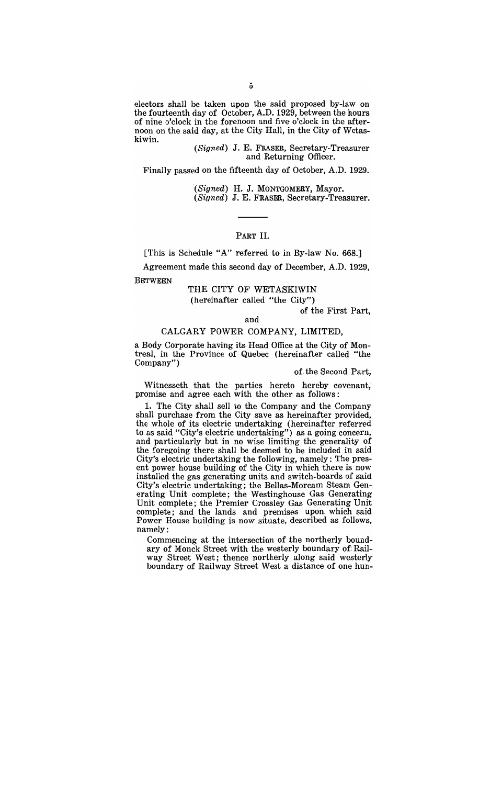electors shall be taken upon the said proposed by-law on the fourteenth day of October, A.D. 1929, between the hours of nine o'clock in the forenoon and five o'clock in the afternoon on the said day, at the City Hall, in the City of Wetaskiwin.

(Signed) J. E. FRASER, Secretary-Treasurer and Returning Officer.

Finally passed on the fifteenth day of October, A.D. 1929.

'(Signed) H. J. MONTGOMERY, Mayor.

 $(Signed)$  J. E. FRASER, Secretary-Treasurer.

## PART II.

[This is Schedule *"A"* referred to in By-law No. 668.]

Agreement made this second day of December, A.D. 1929,

BETWEEN

## THE CITY OF WETASKIWIN (hereinafter called "the City")

of the First Part,

#### and

#### CALGARY POWER COMPANY, LIMITED,

a Body Corporate having its Head Office at the City of Montreal, in the Province of Quebec (hereinafter called "the Company")

#### of, the Second Part,

Witnesseth that the parties hereto hereby covenant, promise and agree each with the other as follows:

1. The City shall sell to the Company and the Company shall purchase from the City save as hereinafter provided, the whole of its electric undertaking (hereinafter referred to as said "City's electric undertaking") as a going concern, and particularly but in no wise limiting the generality of the foregoing there shall be deemed to be included in said City's electric undertaking the following, namely: The present power house building of the City in which there is now installed the gas generating units and switch-boards of said City's electric undertaking; the Bellas-Morcam Steam Generating Unit complete; the Westinghouse Gas Generating Unit complete; the Premier Crossley Gas Generating Unit complete; and the lands and premises upon. which said Power House building is now situate, described as follows, namely:

Commencing at the intersection of the northerly boundary of Monck Street with the westerly boundary of' Railway Street West; thence northerly along said westerly boundary of Railway Street West a distance of one hun-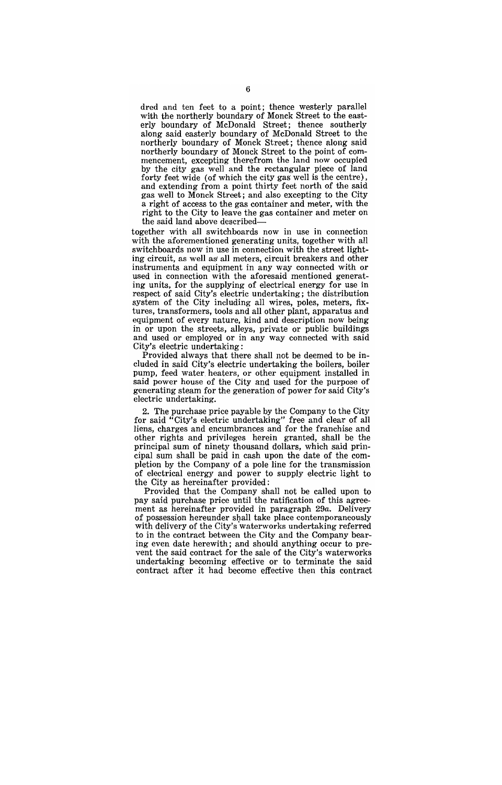$\mathbf{r}$ d and ten feet to a point; thence westerly parallel red and ten reet to a point, thence westerly paramer<br>tith the northerly boundary of Monck Street to the eastful the northerly boundary of Monck Street to the east-<br>riv boundary of McDonald Street: thence southerly along said easterly boundary of McDonald Street to the northerly boundary of Monck Street; thence along said northerly boundary of Monck Street to the point of commencement, excepting therefrom the land now occupied by the city gas well and the rectangular piece of land forty feet wide (of which the city gas well is the centre), and extending from a point thirty feet north of the said gas well to Monck Street; and also excepting to the City a right of access to the gas container and meter, with the right to the City to leave the gas container and meter on the said land above described-

together with all switchboards now in use in connection with the aforementioned generating units, together with all switchboards now in use in connection with the street lighting circuit, as well as all meters, circuit breakers and other instruments and equipment in any way connected with or used in connection with the aforesaid mentioned generating units, for the supplying of electrical energy for use in respect of said City's electric undertaking; the distribution system of the City including all wires, poles, meters, fixtures, transformers, tools and all other plant, apparatus and equipment of every nature, kind and description now being in or upon the streets, alleys, private or public buildings and used or employed or in any way connected with said City's electric undertaking:

Provided always that there shall not be deemed to be included in said City's electric undertaking the boilers, boiler pump, feed water heaters, or other equipment installed in said power house of the City and used for the purpose of and power nouse of the City and used for the purpose of<br>enerating steam for the generation of nower for said City's enerating steam for the

2. The purchase price payable by the Company to the City for said "City's electric undertaking" free and clear of all liens, charges and encumbrances and for the franchise and other rights and privileges herein granted, shall be the principal sum of ninety thousand dollars, which said principal sum shall be paid in cash upon the date of the completion by the Company of a pole line for the transmission of electrical energy and power to supply electric light to. the City as hereinafter provided:

Provided that the Company shall not be called upon to pay said purchase price until the ratification of this agreement as hereinafter provided in paragraph 29a. Delivery of possession hereunder shall take place contemporaneously with delivery of the City's waterworks undertaking referred to in the contract between the City and the Company bearing even date herewith; and should anything occur to prevent the said contract for the sale of the City's waterworks undertaking becoming effective or to terminate the said contract after it had become effective then this contract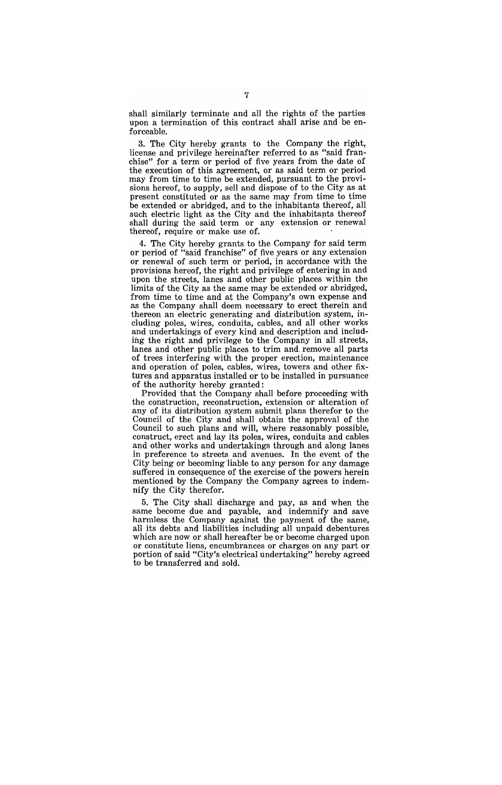shall similarly terminate and all the rights of the parties upon a termination of this contract shall arise and be enforceable.

3. The City hereby grants to the Company the right, license and privilege hereinafter referred to as "said franchise" for a term or period of five years from the date of the execution of this agreement, or as said term or period may from time to time be extended, pursuant to the provisions hereof, to supply, sell and dispose of to the City as at present constituted or as the same may from time to time be extended or abridged, and to the inhabitants thereof, all such electric light as the City and the inhabitants thereof shall during the said term or any extension or renewal thereof, require or make use of.

4. The City hereby grants to the Company for said term or period of "said franchise" of five years or any extension or renewal of such term or period, in accordance with the provisions hereof, the right and privilege of entering in and upon the streets, lanes and other public places within the limits of the City as the same may be extended or abridged, from time to time and at the Company's own expense and as the Company shall deem necessary to erect therein and thereon an electric generating and distribution system, including poles, wires, conduits, cables, and all other works and undertakings of every kind and description and including the right and privilege to the Company in all streets, lanes and other public places to trim and, remove all parts of trees interfering with the proper erection, maintenance and operation of poles, cables, wires, towers and other fixtures and apparatus installed or to be installed in pursuance of the authority hereby granted:

Provided that the Company shall before proceeding with the construction, reconstruction, extension or alteration of any of its distribution system submit plans therefor to the Council of the City and shall obtain the approval of the Council to such plans and will, where reasonably possible, construct, erect and lay its poles, wires, conduits and cables and other works and undertakings through and along lanes in preference to streets and avenues. In the event of the City being or becoming 'liable to any person for any damage suffered in consequence of the exercise of the powers herein mentioned by the Company the Company agrees to indemnify the City therefor.

5. The City shall discharge and pay, as and when the same become due and payable, and indemnify and save harmless the Company against the payment of the same, all its debts and liabilities including all unpaid debentures which are now or shall hereafter be or become charged upon or constitute liens, encumbrances or charges on any part or portion of said "City's electrical undertaking" hereby agreed to be transferred and sold.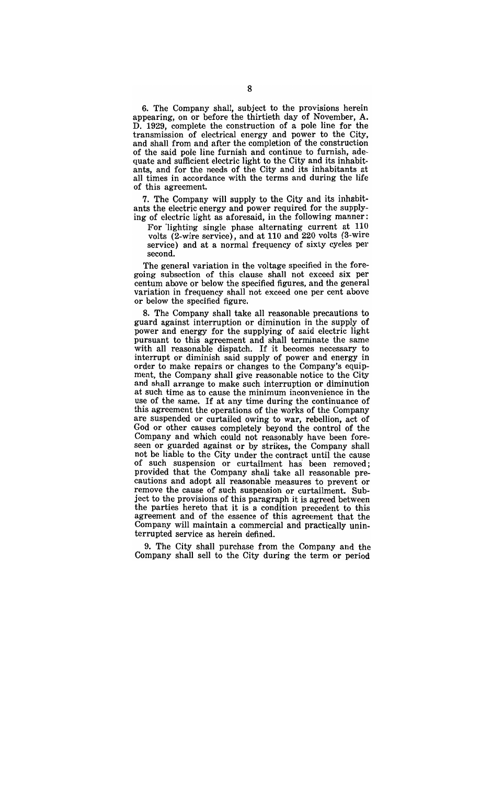6. The Company shall, subject to the provisions herein appearing, on or before the thirtieth day of November, A. D. 1929, complete the construction of a pole line for the transmission of electrical energy and power to the City, and shall from and after the completion of the construction of the said pole line furnish and continue to furnish, adequate and sufficient electric light to the City and its inhabitants, and for the needs of the City and its inhabitants at all times in accordance with the terms and during the life of this agreement.

7. The Company will supply to the City and its inhabitants the electric energy and power required for the supplying of electric light as aforesaid, in the following manner:

For lighting single phase alternating current at 110 volts (2-wire service), and at 110 and 220 volts (3-wire service) and at a normal frequency of sixty cycles per second.

The general variation in the voltage specified in the foregoing subsection of this clause shall not exceed six per centum above or below the specified figures, and the general variation in frequency shall not exceed one per cent above or below the specified figure.

8. The Company shall take all reasonable precautions to guard against interruption or diminution in the supply of power and energy for the supplying of said electric light pursuant to this agreement and shall terminate the same with all reasonable dispatch. If it becomes necessary to interrupt or diminish said supply of power and energy in order to make repairs or changes to the Company's equipment, the Company shall give reasonable notice to the City and shall arrange to make such interruption or diminution at such time as to cause the minimum inconvenience in the use of the same. If at any time during the continuance of this agreement the operations of the works of the Company are suspended or curtailed owing to war, rebellion, act of God or other causes completely beyond the control of the Company and which could not reasonably have been foreseen or guarded against or by strikes, the Company shall not be liable to the City under the contract until the cause of such suspension or curtailment has' been removed; provided that the Company shall take all reasonable precautions' and adopt all reasonable measures to prevent or remove the cause of such suspension or curtailment. Subject to the provisions of this paragraph it is agreed between the parties hereto that it is a condition precedent to this agreement and of the essence of this agreement that the Company will maintain a commercial and practically uninterrupted service as herein defined.

9. The City shall purchase from the Company and the Company shall sell to the City during the term or period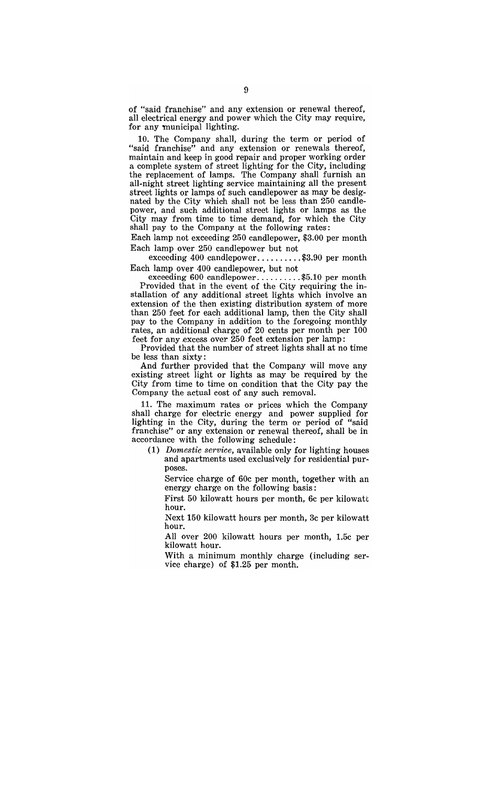of "said franchise" and any extension or renewal thereof, all electrical energy and power which the City may require, for any municipal lighting.

10. The Company shall, during the term or period of "said franchise" and any extension or renewals thereof, maintain and keep in good repair and proper working order a complete system of street lighting for the City, including the replacement of lamps. The Company shall furnish an all-night street lighting service maintaining all the present street lights or lamps of such candlepower as may be designated by the City which shall not be less than 250 candlepower, and such additional street lights or lamps as the City may from time to time demand, for which the City shall pay to the Company at the following rates:

Each lamp not exceeding 250 candlepower, \$3.00 per month Each lamp over 250 candlepower but not

exceeding 400 candlepower.........\$3.90 per month Each lamp over 400 candlepower, but not

all and over 400 candlepower, but not<br>exceeding 600 candlepower.........\$5.10 per month Provided that in the event of the City requiring the installation of any additional street lights which involve an extension of the then existing distribution system of more than 250 feet for each additional lamp, then the City shall pay to the Company in addition to the foregoing monthly rates, an additional charge of 20 cents per month per 100 feet for any excess over  $250$  feet extension per lamp:

Provided that the number of street lights shall at no time be less than sixty:

And further provided that the Company will move any existing street light or lights as may be required by the City from time to time on condition that the City pay the Company the actual cost of any such removal.

11. The maximum rates or prices which the Company shall charge for electric energy and power supplied for lighting in the City, during the term or period of "said" franchise" or any extension or renewal thereof, shall be in accordance with the following schedule:

(1) *Domestic service*, available only for lighting houses and apartments used exclusively for residential purposes.

Service charge of 60c per month, together with an energy charge on the following basis:

First 50 kilowatt hours per month, 6c per kilowatt hour.

Next 150 kilowatt hours per month, 3c per kilowatt hour.

All over 200 kilowatt hours per month, 1.5c per kilowatt hour.

With a minimum monthly charge (including service charge) of \$1.25 per month.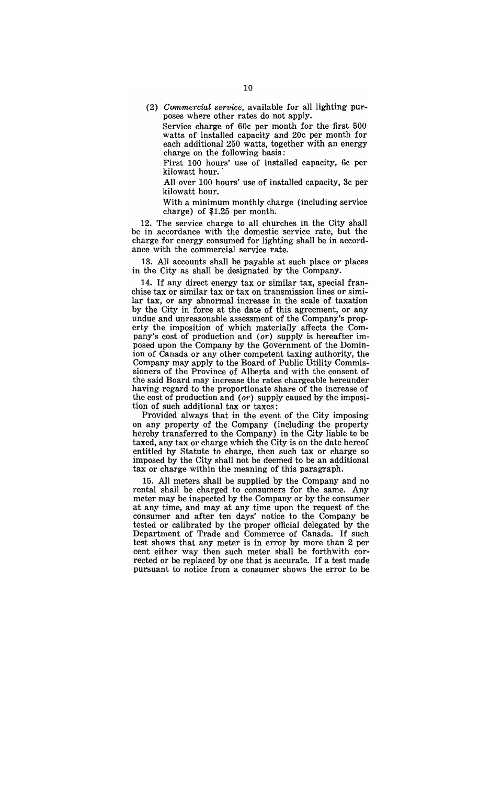(2) Commercial service, available for all lighting purposes where other rates do not apply.

Service charge of 60c per month for the first 500 watts of installed capacity and 20c per month for each additional 250 watts, together with an energy charge on the following basis:

First 100 hours' use of installed capacity, 6c per kilowatt hour.

All over 100 hours' use of installed capacity, 3c per kilowatt hour.

With a minimum monthly charge (including service charge) of \$1.25 per month.

12. The service charge to all churches in the City shall be in accordance with the domestic service rate, but the charge for energy consumed for lighting shall be in accordance with the commercial service rate.

13. All accounts shall be payable at such place or places in the City as shall be designated by the Company.

14. If any direct energy tax or similar tax, special fran-chise tax or similar tax or tax on transmission lines or similar tax, or any abnormal increase in the scale of taxation by the City in force at the date of this agreement, or any undue and unreasonable assessment of the Company's property the imposition of which materially affects the Company's cost of production and (or) supply is hereafter imposed upon the Company by the Government of the Dominion of Canada or any other competent taxing authority, the Company may apply to the Board of Public Utility Commissioners of the Province of Alberta and with the consent of the said Board may increase the rates chargeable hereunder having regard to the proportionate share of the increase of the cost of production and (or) supply caused by the imposition of such additional tax or taxes:

Provided always that in the event of the City imposing on any property of the Company (including the property hereby transferred to the Company) in the City liable to be taxed, any tax or charge which the City is on the date hereof entitled by Statute to charge, then such tax or charge so imposed by the City shall not be deemed to be an additional tax or charge within the meaning of this paragraph.

15. All meters shall be supplied by the Company and no rental shall be charged to consumers for the same. Any meter may be inspected by the Company or by the consumer at any time, and may at any time upon the request of the consumer and after ten days" notice to the Company be tested or calibrated by the proper official delegated by the Department of Trade and Commerce of Canada. If such test shows that any meter is in error by more than 2 per cent either way then such meter shall be forthwith corrected or be replaced by one that is accurate. If a test made pursuant to notice from a consumer shows the error to be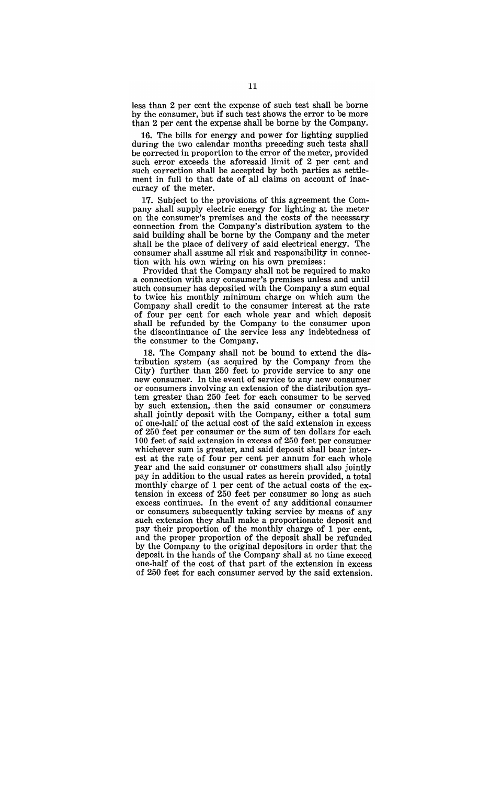less than 2 per cent the expense of such test shall be borne by the consumer, but if such test shows the error to be more than 2 per cent the expense shall be borne by the Company.

16. The bills for energy and power for lighting supplied during the two calendar months preceding such tests shall be corrected in proportion to the error of the meter, provided such error exceeds the aforesaid limit of 2 per cent and such correction shall be accepted by both parties as settlement in full to that date of all claims on account of inaccuracy of the meter.

17. Subject to the provisions of this agreement the Company shall supply electric energy for lighting at the meter on the consumer's premises and the costs of the necessary connection from the Company's distribution system to the said building shall be borne by the Company and the meter shall be the place of delivery of said electrical energy. The consumer shall assume all risk and responsibility in connection with his own wiring on his own premises:

Provided that the Company shall not be required to make a connection with any consumer"s premises unless and until such consumer has deposited with the Company a sum equal to twice his monthly minimum charge on which sum the Company shall credit to the consumer interest at the rate of four per cent for each whole year and which deposit shall be refunded by the Company to the consumer upon the discontinuance of the service less any indebtedness of the consumer to the Company.

18. The Company shall not be bound to extend the distribution system (as acquired by the Company from the City) further than 250 feet to provide service to anyone new consumer. In the event of service to any new consumer or consumers involving an extension of the distribution system greater than 250 feet for each consumer to be served by such extension, then the said consumer or consumers shall jointly deposit with the Company, either a total sum of one-half of the actual cost of the said extension in excess of 250 feet per consumer or the sum of ten dollars for each 100 feet of said extension in excess of 250 feet per consumer whichever sum is greater, and said deposit shall bear interest at the rate of four per cent per annum for each whole year and the said consumer or consumers shall also jointly pay in addition to the usual rates as herein provided, a total monthly charge of 1 per cent of the actual costs of the extension in excess of 250 feet per consumer so long as such excess continues. In the event of any additional consumer or consumers subsequently taking service by means of any such extension they shall make a proportionate deposit and pay their proportion of the monthly charge of 1 per cent, and the proper proportion of the deposit shall be refunded by the Company to the original depositors in order that the deposit in the hands of the Company shall at no time exceed one-half of the cost of that part of the extension in excess of 250 feet for each consumer served by the said extension.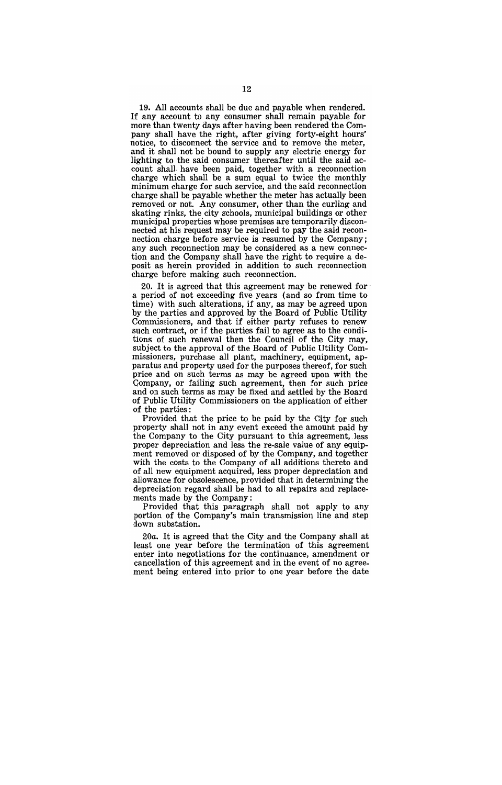19. All accounts shall be due and payable when rendered. If any account to any consumer shall remain payable for more than twenty days after having been rendered the Company shall have the right, after giving forty-eight hours' notice, to disconnect the service and to remove the meter, and it shall not be bound to supply any electric energy for lighting to the said consumer thereafter until the said account shall. have been paid, together with a reconnection charge which shall be a sum equal to twice the monthly minimum charge for such service, and the said reconnection charge shall be payable whether the meter has actually been removed or not. Any consumer, other than the curling and skating rinks, the city schools, municipal buildings or other municipal properties whose premises are temporarily disconnected at his request may be required to pay the said reconnection charge before service is resumed by the Company; any such reconnection may be considered as a new connection and the Company shall have the right to require a deposit as herein provided in addition to such reconnection charge before making such reconnection.

20. It is agreed that this agreement may be renewed for' a period of not exceeding five years (and so from time to time) with such alterations, if any, as may be agreed upon by the parties and approved by the Board of Public Utility Commissioners, and that if either party refuses to renew such contract, or if the parties fail to agree as to the conditions' of such renewal then the Council of the City may, subject to the approval of the Board of Public Utility Commissioners, purchase all plant, machinery, equipment, apparatus and property used for the purposes thereof, for such price and on such terms as may be agreed upon with the Company, or failing such agreement, then for such price and on such terms as may be fixed and settled by the Board of Public Utility Commissioners on the application of either of the parties:

Provided that the price to be paid by the City for such property shall not in any event exceed the amount paid by the Company to the City pursuant to this agreement, Jess proper depreciation and less the re-sale value of any equipment removed or disposed of by the Company, and together with the costs to the Company of all additions thereto and of all new equipment acquired, less proper depreciation and allowance for obsolescence, provided that in determining the depreciation regard shall be had to all repairs and replacements made by the Company:

Provided that this paragraph shall not apply to any portion of the Company's main transmission line and step down substation.

20a. It is agreed that the City and the Company shall at least one year before the termination of this agreement enter into negotiations for the continuance, amendment or cancellation of this agreement and in the event of no agreement being entered into prior to one year before the date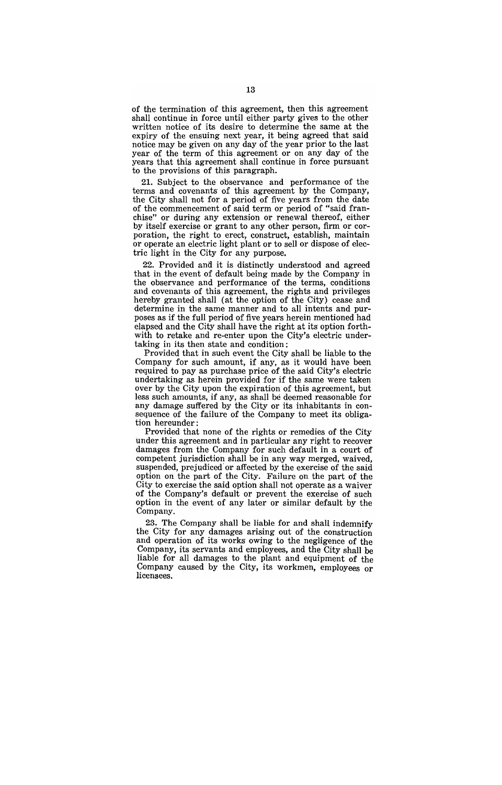of the termination of this agreement, then this agreement shall continue in force until either party gives to the other written notice of its desire to determine the same at the expiry of the ensuing next year, it being agreed that said notice may be given on any day of the year prior to the last year of the term of this agreement or on any day of the years that this agreement shall continue in force pursuant to the provisions of this paragraph.

21. Subject to the observance and performance of the terms and covenants of this agreement by the Company, the City shall not for a period of five years from the date of the commencement of said term or period of "said franchise" or during any extension or renewal thereof, either by itself exercise or grant to any other person, firm or corporation, the right to erect, construct, establish, maintain or operate an electric light plant or to sell or dispose of electric light in the City for any purpose.

22. Provided and it is distinctly understood and agreed that in the event of default being made by the Company in the observance and performance of the terms, conditions and covenants of this agreement, the rights and privileges hereby granted shall (at the option of the City) cease and determine in the same manner and to all intents and purposes as if the full period of five years herein mentioned had elapsed and the City shall have the right at its option forthwith to retake and re-enter upon the City's electric undertaking in its then state and condition:

Provided that in such event the City shall be liable to the Company for such amount, if any, as it would have been required to pay as purchase price of the said City's electric undertaking as herein provided for if the same were taken over by the City upon the expiration of this agreement, but less such amounts, if any, as shall be deemed reasonable for any damage suffered by the City or its inhabitants in consequence of the failure of the Company to meet its obligation hereunder:

Provided that none of the rights or remedies of the City under this agreement and in particular any right to recover damages from the Company for such default in a court of competent jurisdiction shall be in any way merged, waived, suspended, prejudiced'or affected by the exercise of the said option on the part of the City. Failure on the part of the City to exercise the said option shall not operate as a waiver of the Company's default or prevent the exercise of such option in the event of any later or similar default by the Company.

23. The Company shall be liable for and shall indemnify the City for any damages arising out of the construction and operation of its works owing to the negligence of the Company, its servants and employees, and the City shall be liable for all damages to the plant and equipment of the Company caused by the City, its workmen, employees or licensees.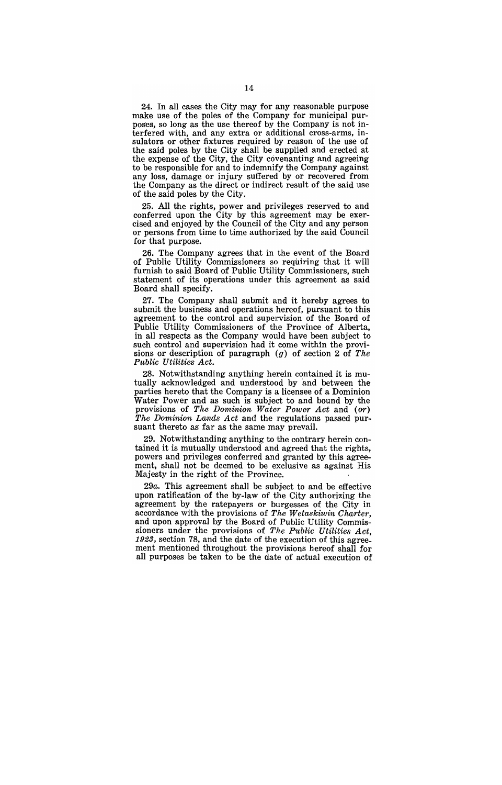24. In all cases the City may for any reasonable purpose make use of the poles of the Company for municipal purposes, so long as the use thereof by the Company is not interfered with, and any extra or additional cross-arms, insulators or other fixtures required by reason of the use of the said poles by the City shall be supplied and erected at the expense of the City, the City covenanting and agreeing to be responsible for and to indemnify the Company against any loss, damage or injury suffered by or recovered from the Company as the direct or indirect result of the said use of the said poles by the City.

25. All the rights, power and privileges reserved to and conferred upon the City by this agreement may be exercised and enjoyed by the Council of the City and any person or persons from time to time authorized by the said Council for that purpose.

26. The Company agrees that in the event of the Board of Public Utility Commissioners so requiring that it will furnish to said Board of Public Utility Commissioners, such statement of its operations under this agreement as said Board shall specify.

27. The Company shall submit and it hereby agrees to submit the business and operations hereof, pursuant to this agreement to the control and supervision of the Board of Public Utility Commissioners of the Province of Alberta, in all respects as the Company would have been subject to such control and supervision had it come within the provisions or description of paragraph (g) of section 2 of *The P.ublic Utilities Act.* 

28. Notwithstanding anything herein contained it is mutually acknowledged and understood by and between the parties hereto that the Company is a licensee of a Dominion Water Power and as such is subject to and bound by the provisions of *The Dominion Wnte'r Power Act* and *(or) The Dominion Lands Act* and the regulations passed pursuant thereto as far as the same may prevail.

29. Notwithstanding anything to the contrary herein contained it is mutually understood and agreed that the rights, powers and privileges conferred and granted by this agreement, shall not be deemed to be exclusive as against His Majesty in the right of the Province.

29a. This agreement shall be subject to and be effective upon ratification of the by-law of the City authorizing the agreement by the ratepayers or burgesses of the City in accordance with the provisions of *The Wetaskiwin Charter,*  and upon approval by the Board of Public Utility Commissioners under the provisions of *The Public Utilities Act,*  1923, section 78, and the date of the execution of this agreement mentioned throughout the provisions hereof shall for all purposes be taken to be the date of actual execution of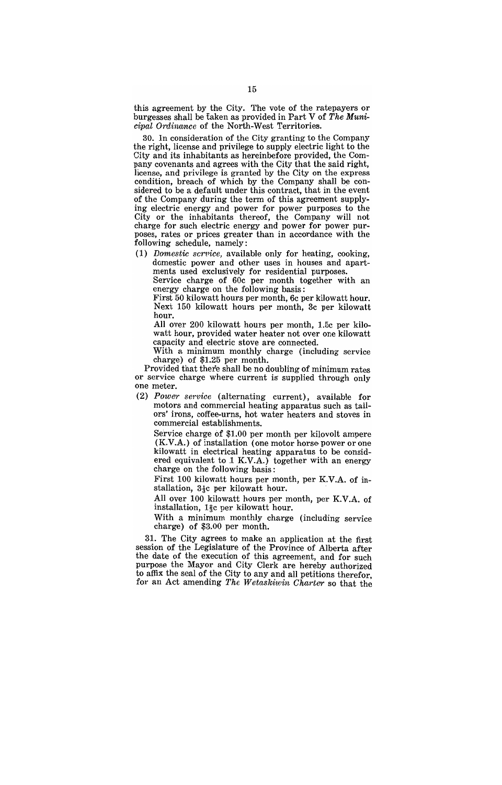this agreement by the City. The vote of the ratepayers or burgesses shall be taken as provided in Part V of *The Municipal Ordinance* of the North-West Territories.

30. In consideration of the City granting to the Company the right, license and privilege to supply electric light to the City and its inhabitants as hereinbefore provided, the Company covenants and agrees with the City that the said right, license, and privilege is granted by the City on the express condition, breach of which by the Company shall be considered to be a default under this contract, that in the event of the Company during the term of this agreement supplying electric energy and power for power purposes to the City or the inhabitants thereof, the Company will not charge for such electric energy and power for power purposes, rates or prices greater than in accordance with the following schedule, namely:

(1) *Domestic scrvice*, available only for heating, cooking, domestic power and other uses in houses and apartments used exclusively for residential purposes.

Service charge of 60c per month together with an energy charge on the following basis:

First 50 kilowatt hours per month, 6c per kilowatt hour. Next 150 kilowatt hours per month, 3c per kilowatt hour.

All over 200 kilowatt hours per month, 1.5c per kilowatt hour, provided water heater not over one kilowatt capacity and electric stove are connected.

With a minimum monthly charge (including service charge) of \$1.25 per month.

Provided that there shall be no doubling of minimum rates or service charge where current is' supplied through only one meter.

*(2) Power service* (alternating current), available for motors and commercial heating apparatus such as tailors' irons, coffee-urns, hot water heaters and stoves in commercial establishments.

Service charge of \$1.00 per month per kilovolt ampere (K.V.A.) of installation (one motor horse power or one kilowatt in electrical heating apparatus to be considered equivalent to 1 K.V.A.) together with an energy charge on the following basis:

First 100 kilowatt hours per month, per K.V.A. of installation,  $3\frac{1}{3}c$  per kilowatt hour.

All over 100 kilowatt hours per month, per K.V.A. of installation,  $1\frac{2}{3}c$  per kilowatt hour.

With a minimum monthly charge (including service charge) of \$3.00 per month.

31. The City agrees to make an application at the first session of the Legislature of the Province of Alberta after the date of the execution of this agreement, and for such purpose the Mayor and City Clerk are hereby authorized to affix the seal of the City to any and all petitions therefor, for an Act amending *The Wetaskiwin Charter* so that the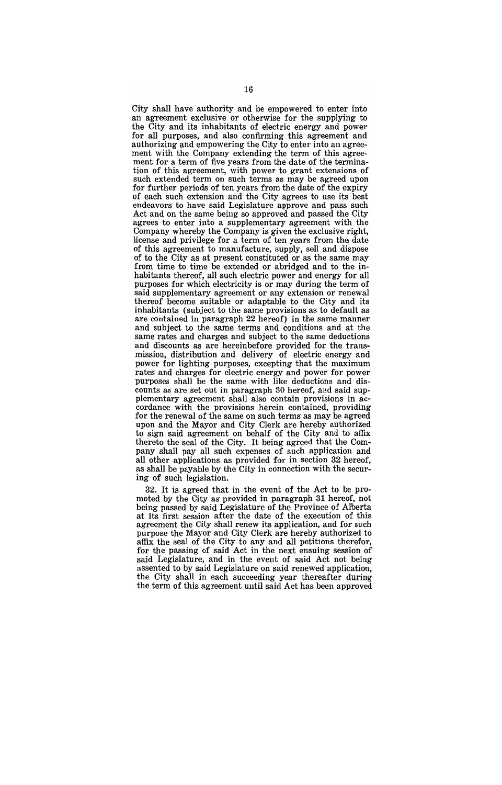City shall have authority and be empowered to enter into an agreement exclusive or otherwise for the supplying to the City and its inhabitants of electric energy and power for all purposes, and also confirming this agreement and authorizing and empowering the City to enter into an agreement with the Company extending the term of this agreement for a term of five years from the date of the termination of this agreement, with power to grant extensions of such extended term on such terms as may be agreed upon for further periods of ten years from the date of the expiry of each such extension and the City agrees to use its best endeavors to have said Legislature approve and pass such Act and on the same being so approved and passed the City agrees to enter into a supplementary agreement with the Company whereby the Company is given the exclusive right, license and privilege for a term of ten years from the date of this agreement to manufacture, supply, sell and dispose of to the City as at present constituted or as the same may from time to time be extended or abridged and to the inhabitants thereof, all such electric power and energy for all purposes for which electricity is or may during the term of said supplementary agreement or any extension or renewal thereof become suitable or adaptable to the City and its inhabitants (subject to the same provisions as to default as are contained in paragraph 22 hereof) in the same manner and subject to the same terms and conditions and at the same rates and charges and subject to the same deductions and discounts as are hereinbefore provided for the transmission, distribution and delivery of electric energy and power for lighting purposes, excepting that the maximum rates' and charges for electric energy and power for power purposes shall be the same with like deductions and discounts as are set out in paragraph 80 hereof, and said supplementary agreement shall also contain provisions in accordance with the provisions herein contained, providing for the renewal of the same on such terms as may be agreed upon and the Mayor and City Clerk are hereby authorized to sign said agreement on behalf of the City and to affix thereto the seal of the City, It being agreed that the Company shall pay all such expenses of such application and all other applications as provided for in section 32 hereof, as shall be payable by the City in connection with the securing of such legislation.

32. It is agreed that in the event of the Act to be promoted by the Cityas' provided in paragraph 31 hereof, not being passed by said Legislature of the Province of Alberta at its first session after the date of the execution of this agreement the City shall renew its application, and for such purpose the Mayor and City Clerk are hereby authorized to affix the seal of the City to any and all petitions therefor, for the passing of said Act in the next ensuing session of said Legislature, and in the event of said Act not being assented to by said Legislature on said renewed application, the City shall in each succeeding year thereafter during the term of this agreement until said Act has been approved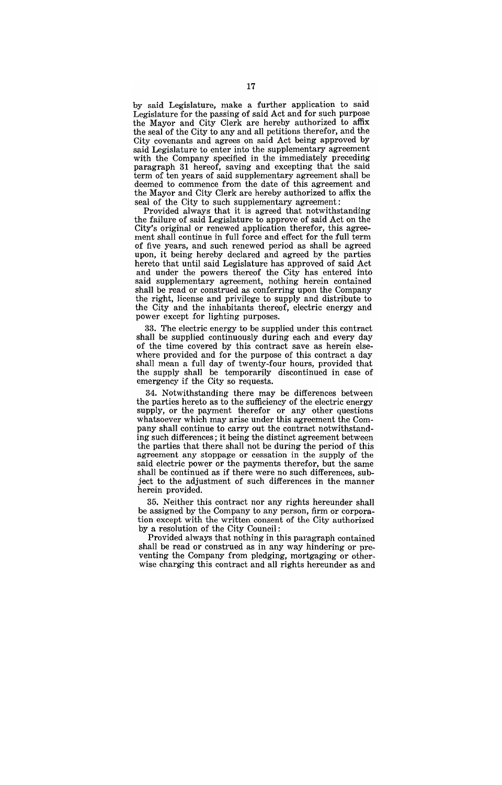by said Legislature, make a further application to said Legislature for the passing of said Act and for such purpose the Mayor and City Clerk are hereby authorized to affix the seal of the City to any and all petitions therefor, and the City covenants and agrees on said Act being approved by said Legislature to enter into the supplementary agreement with the Company specified in the immediately preceding paragraph 31 hereof, saving and excepting that the said term of ten years of said supplementary agreement shall be deemed to commence from the date of this agreement and the Mayor and City Clerk are hereby authorized to affix the seal of the City to such supplementary agreement:

Provided always' that it is agreed that notwithstanding the failure of said Legislature to approve of said Act on the City's original or renewed application therefor, this agreement shall continue in full force and effect for the full term of five years, and such renewed period as shall be agreed upon, it being hereby declared and agreed by the parties hereto that until said Legislature has approved of said Act and under the powers thereof the City has entered into said supplementary agreement, nothing herein contained shall be read or construed as conferring upon the Company the right, license and privilege to supply and distribute to the City and the inhabitants thereof, electric energy and power except for lighting purposes.

33. The electric energy to be supplied under this contract shall be supplied continuously during each and every day of the time covered by this contract save as herein elsewhere provided and for the purpose of this contract a day shall mean a full day of twenty-four hours, provided that the supply shall be temporarily discontinued in case of emergency if the City so requests.

34. Notwithstanding there may be differences between the parties hereto as to the sufficiency of the electric energy supply, or the payment therefor or any other questions whatsoever which may arise under this agreement the Company shall continue to carry out the contract notwithstanding such differences; it being the distinct agreement between the parties that there shall not be during the period of this agreement any stoppage or cessation in the supply of the said electric power *ot* the payments therefor, but the same shall be continued as if there were no such differences, subject to the adjustment of such differences in the manner herein provided.

35. Neither this contract nor any rights hereunder shall be assigned by the Company to any person, firm or corporation except with the written consent of the City authorized by a resolution of the City Council:

Provided always that nothing in this paragraph contained shall be read or construed as in any way hindering or preventing the Company from pledging, mortgaging or otherwise charging this contract and all rights hereunder as and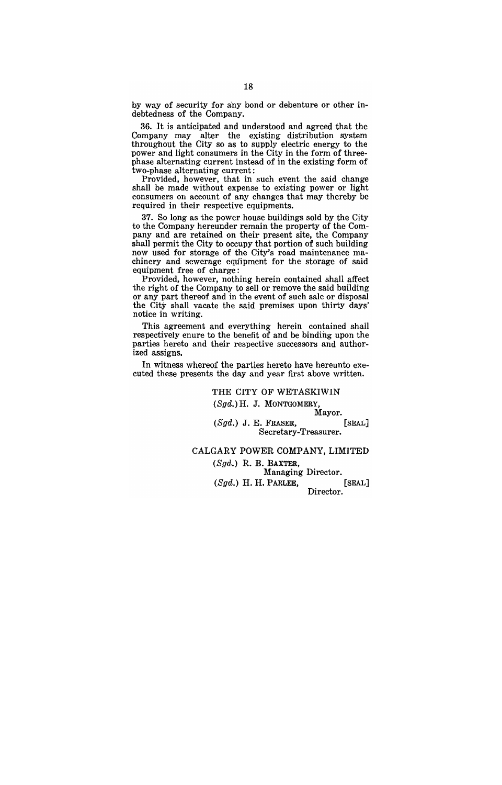by way of security for any bond or debenture or other indebtedness of the Company.

36. It is anticipated and understood and agreed that the Company may alter the existing distribution system  $t$  the City so as to supply electric energy to the  $t$ power and light consumers in the City in the form of threephase alternating current instead of in the existing form of two-phase alternating current:

Provided, however, that in such event the said change shall be made without expense to existing power or light consumers on account of any changes that may thereby be required in their respective equipments.

37. So long as the power house buildings sold by the City to the Company hereunder remain the property of the Company and are retained on their present site, the Company shall permit the City to occupy that portion of such building now used for storage of the City's road maintenance machinery and sewerage equipment for the storage of said equipment free of charge:

Provided, however, nothing herein contained shall affect the right of the Company to sell or remove the said building or any part thereof and in the event of such sale or disposal the City shall vacate the said premises upon thirty days' notice in writing.

This agreement and everything herein contained shall respectively enure to the benefit of and be binding upon the parties hereto and their respective successors and authorized assigns.

In witness whereof the parties hereto have hereunto executed these presents the day and year first above written.

> THE CITY OF WETASKIWIN (Sgd.) H. J. MONTGOMERY,

Mayor.

 $(Sgd.)$  J. E. FRASER, [SEAL] Secretary-Treasurer.

#### CALGARY POWER COMPANY, LIMITED

(Sgd.) R. B. BAXTER,

Managing Director. (Sgd.) H. H. PARLEE, [SEAL] Director.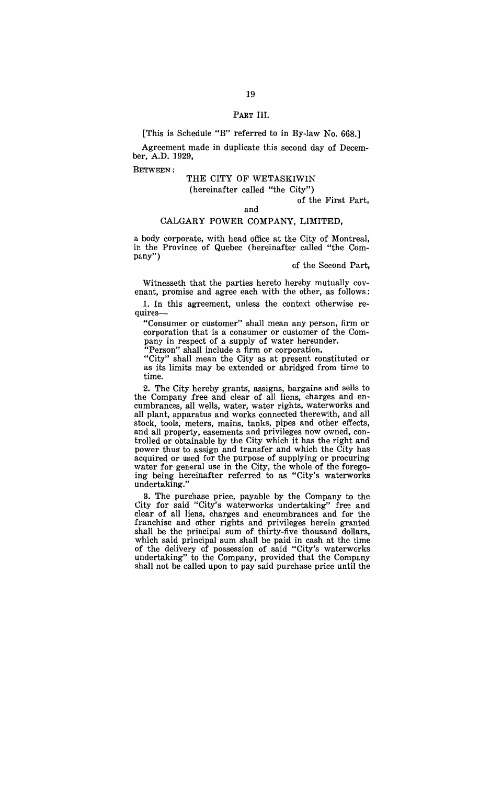PART III.

[This is Schedule "B" referred to in By-law No. 668.]

Agreement made in duplicate this second day of December, A.D. 1929,

BETWEEN:

## THE CITY OF WETASKIWIN

(hereinafter called "the City")

of the First Part,

## and

## CALGARY POWER COMPANY, LIMITED,

a body corporate, with head office at the City of Montreal, in the Province of Quebec (hereinafter called "the Company")

of the Second Part,

Witnesseth that the parties hereto hereby mutually covenant, promise and agree each with the other, as follows:

1. In this agreement, unless the context otherwise requires-

"Consumer or customer" shall mean any person, firm or corporation that is a consumer or customer of the Company in respect of a supply of water hereunder.

Figure 1.1 The proof of the supply to the corporation.

"City" shall mean the City as at present constituted or as its limits may be extended or abridged from time to time.

2. The City hereby grants, assigns, bargains and sells to the Company free and clear of all liens, charges and encumbrances, all wells, water, water rights, waterworks and all plant, apparatus and works connected therewith, and all stock, tools, meters, mains, tanks, pipes and other effects, and all property, easements and privileges now owned, conthat an property, calculately and privileges now owned, contained and relationship of the City which it has the right and power thus' to assign and transfer and which the City has acquired or used for the purpose of supplying or procuring water for general use in the City, the whole of the foregoing being hereinafter referred to as "City's waterworks undertaking."

3. The purchase price, payable by the Company to the City for said "City's waterworks' undertaking" free and clear of all liens, charges and encumbrances and for the franchise and other rights and privileges herein granted shall be the principal sum of thirty-five thousand dollars, which said principal sum shall be paid in cash at the time of the delivery of possession of said "City's waterworks undertaking" to the Company, provided that the Company shall not be called upon to pay said purchase price until the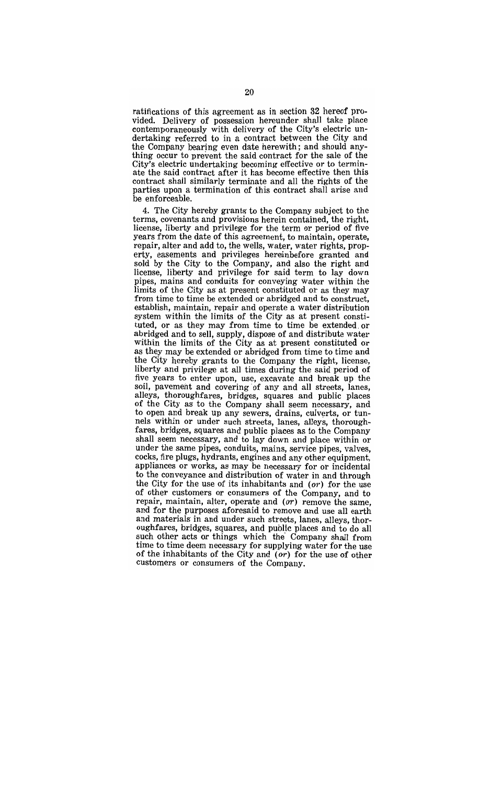ratifications of this agreement as in section 32 hereof proatifications of this agreement as in section of hereof pro-<br>ided. Delivery of possession hereunder shall take place rucu. Defivery of possession nereunuer shair take place<br>ontemporaneously with delivery of the City's electric undertaking referred to in a contract between the City and the Company bearing even date herewith; and should anything occur to prevent the said contract for the sale of the City's electric undertaking becoming effective or to terminate the said contract after it has become effective then this contract shall similarly terminate and all the rights of the parties upon a termination of this contract shall arise and be enforceable.

4. The City hereby grants to the Company subject to the terms, covenants and provisions herein contained, the right, license, liberty and privilege for the term or period of five years from the date of this agreement, to maintain, operate, repair altern and add to this agreement, to manitalit, operate,<br>chair alter and add to the wells, water, water rights, propepair, and and add to, the wens, water, water rights, prop-<br>riv assements and privileges hereinhefore granted and sold by the City to the Company, and also the right and old by the Oity to the Company, and also the right and<br>cense, liberty and privilege for said term to lay down cense, metry and privilege for said term to lay down<br>ines mains and conduits for conveying water within the lipes, mains and conduits for conveying water within the<br>mits of the City as at present constituted or as they may limits of the City as at present constituted or as they may from time to time be extended or abridged and to construct, establish, maintain, repair and operate a water distribution system within the limits of the City as at present constituted, or as they may from time to time be extended, or abridged and to sell, supply, dispose of and distribute water within the limits of the City as at present constituted or as they may be extended or abridged from time to time and the City hereby grants to the Company the right, license, liberty and privilege at all times during the said period of five years to enter upon, use, excavate and break up the soil, pavement and covering of any and all streets, lanes, alleys, thoroughfares, bridges, squares and public places of the City as to the Company shall seem necessary, and to open and break up any sewers, drains, culverts, or tunnels within or under such streets, lanes, alleys, thoroughfares, bridges, squares and public places as to the Company shall seem necessary, and to lay down and place within or ian seem necessary, and w lay down and piace widing or ract are same pipes, conduits, maille, service pipes, valves,<br>reks, fire plugs, hydrants, engines and any other equipment cocks, fire plugs, hydrants, engines and any other equipment, appliances or works, as may be necessary for or incidental to the conveyance and distribution of water in and through the City for the use of its inhabitants and (or) for the use of other customers or consumers of the Company, and to repair, maintain, alter, consumers of the company, and to repair, maintain, alter, operate and  $(or)$  remove the same, and for the purposes aforesaid to remove and use all earth and materials in and under such streets, lanes, alleys, thorof materials in any under such streets, lanes, alleys, thorsuch the product of the control of the company shall from<br>ich other acts or things, which the Company shall from to the total acts of things which the Company shall from the to this deem necessary for supplying water for the use  $\int$  the inhabitants of the City and  $(\alpha)$  for the use of other of the inhabitants of the City and  $(or)$  for the use of other customers or consumers of the Company.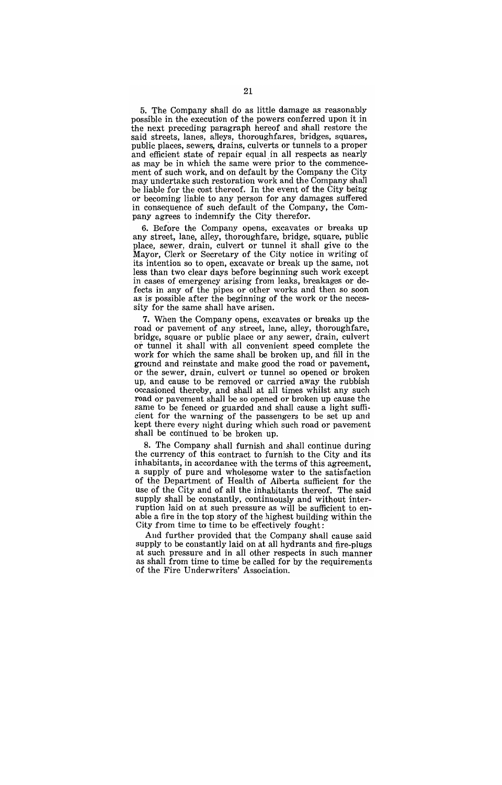5. The Company shall do as little damage as reasonably possible in the execution of the powers conferred upon it in the next preceding paragraph hereof and shall restore the said streets, lanes, alleys, thoroughfares, bridges, squares, public places, sewers, drains, culverts or tunnels to a proper and efficient state of repair equal in all respects as nearly as may be in which the same were prior to the commencement of such work, and on default by the Company the City may undertake such restoration work and the Company shall be liable for the cost thereof. In the event of the City being or becoming liable to any person for any damages suffered in consequence of such default of the Company, the Company agrees to indemnify the City therefor.

6. Before the Company opens, excavates or breaks up any street, lane, alley, thoroughfare, bridge, square, public place, sewer, drain, culvert or tunnel it shall give to the Mayor, Clerk or Secretary of the City notice in writing of its intention so to open, excavate or break up the same, not less than two clear days before beginning such work except in cases of emergency arising from leaks, breakages or defects in any of the pipes or other works and then so soon as is possible after the beginning of the work or the necessity for the same shall have arisen.

7. When the Company opens, excavates or breaks up the road or pavement of any street, lane, alley, thoroughfare, bridge, square or public place or any sewer, drain, culvert or tunnel it shall with all convenient speed complete the work for which the same shall be broken up, and fill in the ground and reinstate and make good the road or pavement, or the sewer, drain, culvert or tunnel so opened or broken up, and cause to be removed or carried away the rubbish occasioned thereby, and shall at all times whilst any such road or pavement shall be so opened or broken up cause the same to be fenced or guarded and shall cause a light sufficient for the warning of the passengers to be set up and kept there every night during which such road or pavement shall be continued to' be broken up.

8. The Company shall furnish and shall continue during the currency of this contract to furnish to the City and its inhabitants, in accordance with the terms of this agreement, mastants, in accordance while the terms of this agreement,<br>supply of pure and wholesome water to the satisfaction of the Department of Health of Alberta sufficient for the use of the City and of all the inhabitants thereof. The said supply shall be constantly, continuously and without interruption laid on at such pressure as will be sufficient to enable a fire in the top story of the highest building within the City from time to time to be effectively fought:

And further provided that the Company shall cause said supply to be constantly laid on at all hydrants and fire-plugs at such pressure and in all other respects in such manner as shall from time to time be called for by the requirements of the Fire Underwriters' Association.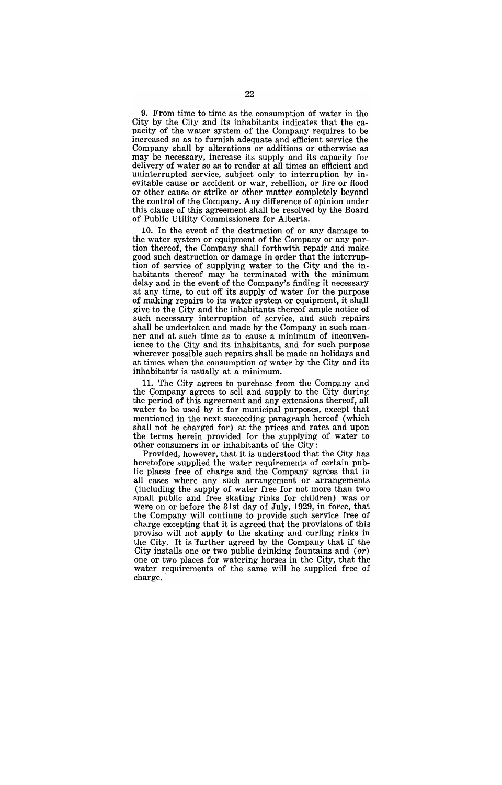9. From time to time as the consumption of water in the City by the City and its inhabitants indicates that the capacity of the water system of the Company requires to be increased so. as to. furnish adequate and efficient service the Company shall by alterations or additions or otherwise as may be necessary, increase its supply and its capacity for delivery of water so as to render at all times an efficient and uninterrupted service, subject only to interruption by inevitable cause or accident or war, rebellion, or fire or flood or other cause or strike or other matter completely beyond the control of the Company. Any difference of opinion under this clause of this agreement shall be resolved by the Board of Public Utility Commissioners for Alberta.

10. In the event of the destruction of or any damage to the water system or equipment of the Company or any portion thereof, the Company shall forthwith repair and make good such destruction or damage in order that the interruption of service of supplying water to the City and the inhabitants thereof may be terminated with the minimum delay and in the event of the Company's finding it necessary at any time, to cut off its supply of water for the purpose of making repairs to its water system or equipment, it shall give to the City and the inhabitants thereof ample notice of such necessary interruption of service, and such repairs shall be undertaken and made by the Company in such manner and at such time as to cause a minimum of inconvenience to the City and its inhabitants, and for such purpose. wherever possible such repairs shall be made on holidays and at times when the consumption of water by the City and its inhabitants is usually at a minimum.

11. The City agrees to purchase from the Company and the Company agrees to sell and supply to the City during the period of this agreement and any extensions thereof, all water to be used by it for municipal purposes, except that mentioned in the next succeeding paragraph hereof (which shall not be charged for) at the prices and rates and upon the terms herein provided for the supplying of water to. other consumers in or inhabitants of the City:

Provided, however, that it is understood that the City has heretofore supplied the water requirements of certain public places free of charge and the Company agrees that in all cases where any such arrangement or arrangements (including the supply of water free for not more than two. small public and free skating rinks for children) was or were on or before the 31st day of July, 1929, in force, that the Company will continue to provide such service free of charge excepting that it is agreed that the provisions of this proviso will not apply to the skating and curling rinks in the City. It is further agreed by the Company that if the City installs one or two public drinking fountains and  $(or)$ one or two places for watering horses in the City, that the water requirements of the same will be supplied free of charge.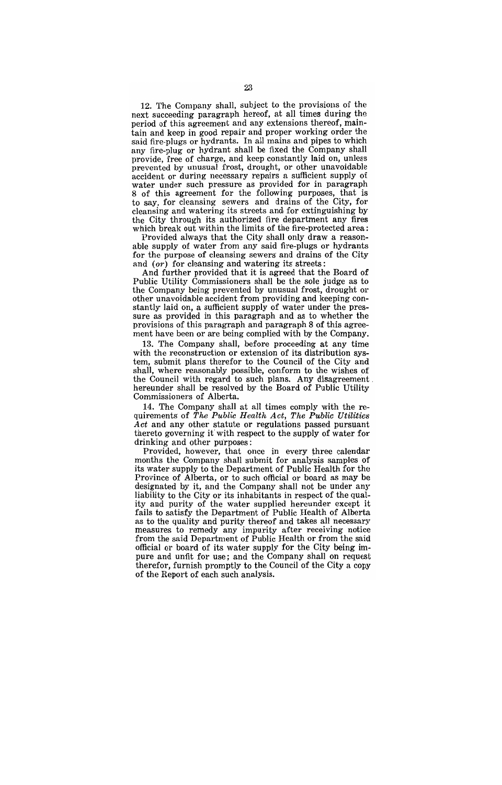12. The Company shall, subject to the provisions of the next succeeding paragraph hereof, at all times during the period of this agreement and any extensions thereof, maintain and keep in good repair and proper working order the said fire-plugs or hydrants. In all mains and pipes to which any fire-plug or hydrant shall be fixed the Company shall provide, free of charge, and keep constantly laid on, unless prevented by unusual frost, drought, or other unavoidable accident or during necessary repairs a sufficient supply of water under such pressure as provided for in paragraph 8 of this agreement for the following purposes, that is to say, for cleansing sewers and drains of the City, for cleansing and watering its streets and for extinguishing by the City through its authorized fire department any fires which break out within the limits of the fire-protected area:

Provided always that the City shall only draw a reasonable supply of water from any said fire-plugs or hydrants for the purpose of cleansing sewers' and drains of the City and  $(or)$  for cleansing and watering its streets:

And further provided that it is agreed that the Board of Public Utility Commissioners shall be the sole judge as to the Company being prevented by unusual frost, drought or other unavoidable accident from providing and keeping constantly laid on, a sufficient supply of water under the pressure as provided in this paragraph and as to whether the provisions of this paragraph and paragraph 8 of this agreement have been or are being complied with by the Company.

13. The Company shall, before proceeding at any time with the reconstruction or extension of its distribution system, submit plans' therefor to the Council of the City and shall, where reasonably possible, conform to the wishes of the Council with regard to such plans. Any disagreement hereunder shall be resolved by the Board of Public Utility Commissioners of Alberta.

14. The Company shall at all times comply with the requirements of *The Public Health Act, The Public Utilities Act* and any other statute or regulations passed pursuant thereto governing it' with respect to the supply of water for drinking and other purposes:

Provided, however, that once in every three calendar months the Company shall submit for analysis samples of its water supply to the Department of Public Health for the Province of Alberta, or to such official or board as may be designated by it, and the Company shall not be under any liability to the City or its inhabitants in respect of the quality and purity of the water supplied hereunder except it fails to satisfy the Department of Public Health of Alberta as to the quality and purity thereof and takes all necessary measures to remedy any impurity after receiving notice from the said Department of Public Health or from the said official or board of its water supply for the City being impure and unfit for use; and the Company shall on request therefor, furnish promptly to the Council of the City a copy of the Report of each such analysis.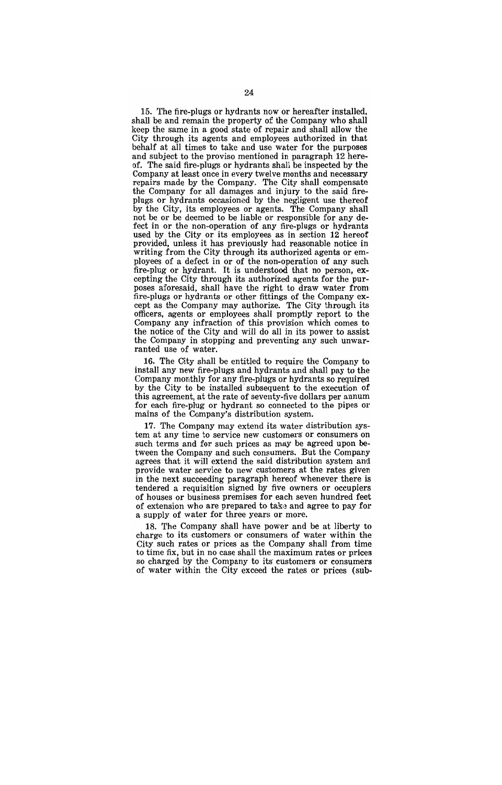15. The fire-plugs or hydrants now or hereafter installed, shall be and remain the property of the Company who shall keep the same in a good state of repair and shall allow the City through its agents and employees authorized in that behalf at all times to take and use water for the purposes and subject to the proviso mentioned in paragraph 12 hereof. The said fire-plugs or hydrants shall be inspected by the Company at least once in every twelve months and necessary repairs made by the Company. The City shall compensate the Company for all damages and injury to the said fireplugs or hydrants occasioned by the negligent use thereof by the City, its employees or agents. The Company shall not be or be deemed to be liable or responsible for any defect in or the non-operation of any fire-plugs or hydrants used by the City or its employees as in section 12 hereof provided, unless it has previously had reasonable notice in writing from the City through its authorized agents or employees of a defect in or of the non-operation of any such fire-plug or hydrant. It is understood that no person, excepting the City through its authorized agents for the purposes aforesaid, shall have the right to draw water from fire-plugs or hydrants or other fittings of the Company except as the Company may authorize. The City through its officers, agents or employees shall promptly report to the Company any infraction of this provision which comes to the notice of the City and will do all in its power to assist the Company in stopping and preventing any such unwarranted use of water.

16. The City shall be entitled to require the Company to install any new fire-plugs and hydrants and shall pay to the Company monthly for any fire-plugs or hydrants so required by the City to be installed subsequent to the execution of this agreement, at the rate of seventy-five dollars per annum for each fire-plug or hydrant so connected to the pipes or mains of the Company's distribution system.

17. The Company may extend its water distribution system at any time to service new customers or consumers on such terms and for such prices ag may be agreed upon between the Company and such consumers. But the Company agrees that it will extend the said distribution system and provide water service to new customers at the rates given in the next succeeding paragraph hereof whenever there is tendered a requisition signed by five owners or occupiers of houses or business premises for each seven hundred feet of extension who are prepared to take and agree to pay for a supply of water for three years or more.

18. The Company shall have power and be at liberty to charge to its customers or consumers of water within the City such rates or prices as the Company shall from time to time fix, but in no case shall the maximum rates or prices so charged by the Company to its customers or consumers of water within the City exceed the rates or prices (sub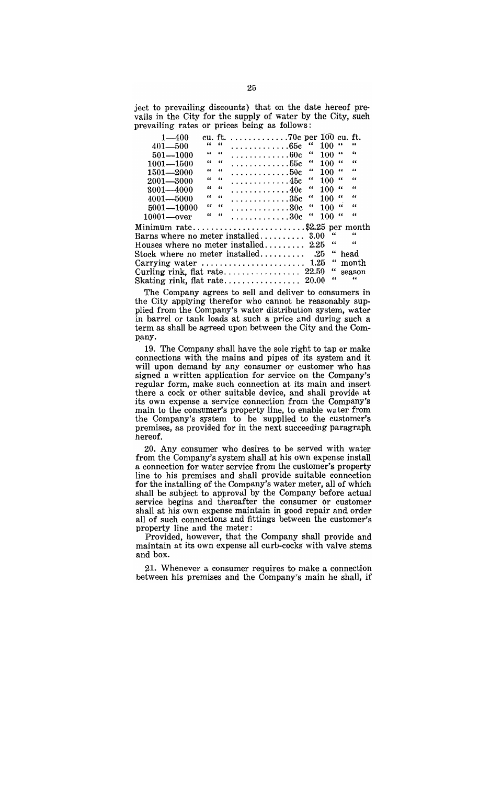ject to prevailing discounts) that on the date hereof prevails in the City for the supply of water by the City, such prevailing rates or prices being as follows:

| $\mu$ , $\mu$ , $\mu$ , $\mu$ , $\mu$ , $\mu$ , $\mu$ , $\mu$ , $\mu$ |  |                                         |  |  |  |  |                                   |            |             |  |            |  |
|-----------------------------------------------------------------------|--|-----------------------------------------|--|--|--|--|-----------------------------------|------------|-------------|--|------------|--|
| $1 - 400$                                                             |  |                                         |  |  |  |  | cu. ft. 70c per $100$ cu. ft.     |            |             |  |            |  |
| $401 - 500$                                                           |  | $\epsilon\epsilon = \epsilon\epsilon$   |  |  |  |  | . 65c                             | $\epsilon$ | 100 $\cdot$ |  | "          |  |
| $501 - 1000$                                                          |  | $\cdots$                                |  |  |  |  | . 60c                             | 66         | 100 "       |  | $\epsilon$ |  |
| $1001 - 1500$                                                         |  | $\epsilon \epsilon$ $\epsilon \epsilon$ |  |  |  |  | . 55c                             | 66         | 100 "       |  | 66         |  |
| $1501 - 2000$                                                         |  | $\epsilon\epsilon$ $\epsilon\epsilon$   |  |  |  |  | . $50c$                           | 66         | $100$ "     |  | $\epsilon$ |  |
| $2001 - 3000$                                                         |  | $\epsilon\epsilon = \epsilon\epsilon$   |  |  |  |  | . 45c                             | "          | $100$ "     |  | 66         |  |
| $3001 - 4000$                                                         |  | $\epsilon \epsilon$ $\epsilon \epsilon$ |  |  |  |  | $\ldots \ldots \ldots \ldots 40c$ | 66         | $100$ "     |  | 44         |  |
| $4001 - 5000$                                                         |  | $\epsilon \epsilon$ $\epsilon \epsilon$ |  |  |  |  | . 35c                             | "          | $100$ "     |  | $\epsilon$ |  |
| $5001 - 10000$                                                        |  | $55 - 66$                               |  |  |  |  | $\ldots \ldots \ldots \ldots 30c$ | "          | $100$ "     |  | 66         |  |
| $10001$ —over                                                         |  | $\epsilon\epsilon$ $\epsilon\epsilon$   |  |  |  |  | . 30c                             | "          | 100 "       |  | $\epsilon$ |  |
| Minimum rate\$2.25 per month                                          |  |                                         |  |  |  |  |                                   |            |             |  |            |  |
| $\epsilon$<br>"<br>Barns where no meter installed $3.00$              |  |                                         |  |  |  |  |                                   |            |             |  |            |  |
| Houses where no meter installed $2.25$                                |  |                                         |  |  |  |  |                                   |            | "           |  | $\epsilon$ |  |
| "<br>Stock where no meter installed $.25$<br>head                     |  |                                         |  |  |  |  |                                   |            |             |  |            |  |
| 66<br>month                                                           |  |                                         |  |  |  |  |                                   |            |             |  |            |  |
| "<br>Curling rink, flat rate $22.50$<br>season                        |  |                                         |  |  |  |  |                                   |            |             |  |            |  |
| Skating rink, flat rate 20.00                                         |  |                                         |  |  |  |  |                                   |            | 66          |  | $\epsilon$ |  |
|                                                                       |  |                                         |  |  |  |  |                                   |            |             |  |            |  |

The Company agrees to sell and deliver to consumers in the City applying therefor who cannot be reasonably supplied from the Company's water distribution system, water in barrel or tank loads at such a price and during such a term as shall be agreed upon between the City and the Company.

19. The Company shall have the sole right to tap or make connections with the mains and pipes of its system and it will upon demand by any consumer or customer who has signed a written application for service on the Company's regular form, make such connection at its main and insert there a cock or other suitable device, and shall provide at its own expense a service connection from the Company's main to the consumer's property line, to enable water from the Company's system to be supplied to the customer's premises, as provided for in the next succeeding paragraph hereof.

20. Any consumer who desires to be served with water from the Company's system shall at his own expense install a connection for water service from the customer's property line to his premises and shall provide suitable connection for the installing of the Company's water meter, all of which shall be subject to approval by the Company before actual service begins and thereafter the consumer or customer shall at his own expense maintain in good repair and order all of such connections and fittings between the customer's property line and the meter:

Provided, however, that the Company shall provide and maintain at its own expense all curb-cocks with valve stems and box.

21. Whenever a consumer requires to make a connection between his premises and the Company's main he shall, **if**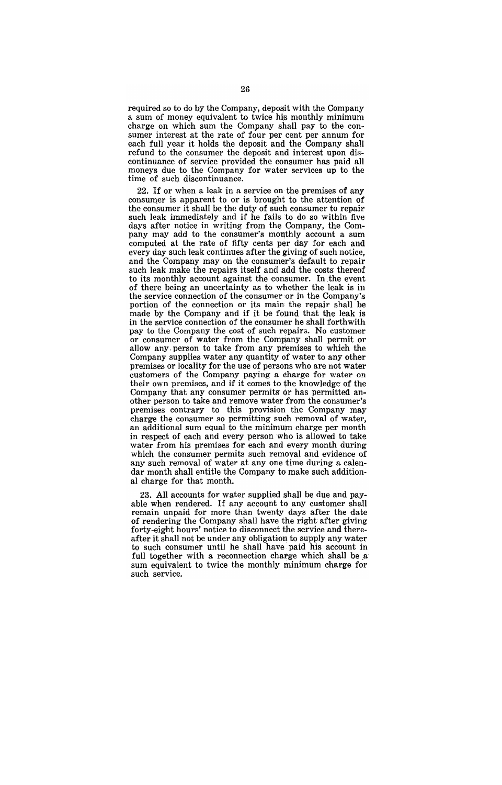required so to do by the Company, deposit with the Company a sum of money equivalent to twice his monthly minimum charge on which sum the Company shall pay to the consumer interest at the rate of four per cent per annum for each full year it holds the deposit and the Company shall refund to the consumer the deposit and interest upon discontinuance of service provided the consumer has paid all moneys due to the Company for water services up to the time of such discontinuance.

22. If or when a leak in a service on the premises of any consumer is apparent to or is brought to the attention of the consumer it shall be the duty of such consumer to repair such leak immediately and if he fails to do so within five days after notice in writing from the Company, the Company may add to the consumer's monthly account a sum computed at the rate of fifty cents per day for each and every day such leak continues after the giving of such notice, and the Company may on the consumer's default to repair such leak make the repairs itself and add the costs thereof to its monthly account against the consumer. In the event of there being an uncertainty as to whether the leak is in the service connection of the consumer or in the Company's portion of the connection or its main the repair shall be made by the Company and if it be found that the leak is in the service connection of the consumer he shall forthwith pay to the Company the cost of such repairs. No customer or consumer of water from the Company shall permit or allow any, person to take from any premises to which the Company supplies water any quantity of water to any other premises or locality for the use of persons who are not water customers of the Company paying a charge for water on their own premises, and if it comes to the knowledge of the Company that any consumer permits or has permitted another person to take and remove water from the consumer's premises contrary to this provision the Company may charge the consumer so permitting such removal of water, an additional sum equal to the minimum charge per month in respect of each and every person who is allowed to take water from his premises for each and every month during which the consumer permits such removal and evidence of any such removal of water at anyone time during a calendar month shall entitle the Company to make such additional charge for that month.

23. All accounts for water supplied shall be due and payable when rendered. If any account to any customer shall remain unpaid for more than twenty days after the date of rendering the Company shall have the right after giving forty-eight hours' notice to disconnect the service and thereafter it shall not be under any obligation to supply any water to such consumer until he shall have paid his account in full together with a reconnection charge which shall be a sum equivalent to twice the monthly minimum charge for such service.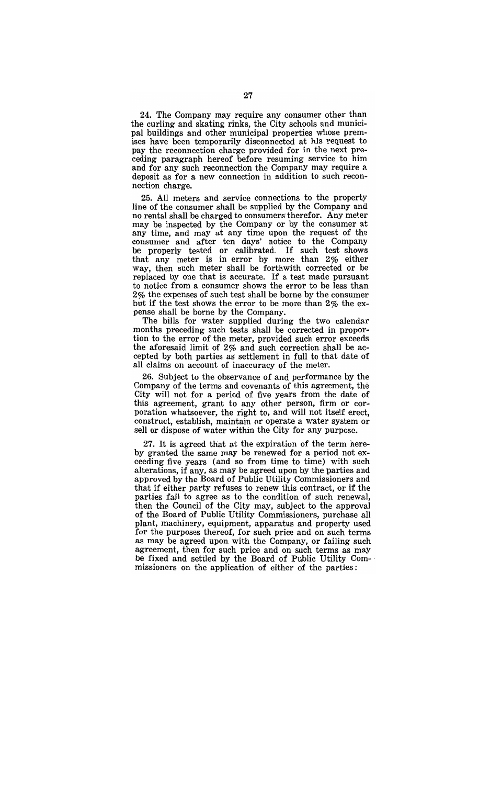24. The Company may require any consumer other than the curling and skating rinks, the City schools and municipal buildings and other municipal properties whose premises have been temporarily disconnected at his request to pay the reconnection charge provided for in the next preceding paragraph hereof before resuming service to him and for any such reconnection the Company may require a deposit as for a new connection in addition to such reconnection charge.

25. All meters and service connections to the property line of the consumer shall be supplied by the Company and no rental shall be charged to consumers therefor. Any meter may be inspected by the Company or by the consumer at any time, and may at any time upon the request of the consumer and after ten days' notice to the Company be properly tested or calibrated. If such test shows that any meter is in error by more than  $2\%$  either way, then such meter shall be forthwith corrected or be replaced by one that is accurate. If a test made pursuant to notice from a consumer shows the error to be less than 2% the expenses of such test shall be borne by the consumer but if the test shows the error to be more than 2% the expense shall be borne by the Company.

The bills for water supplied during the two calendar months preceding such tests shall be corrected in proportion to the error of the meter, provided such error exceeds the aforesaid limit of 2% and such correction shall be accepted by both parties as' settlement in full to that date of all claims on account of inaccuracy of the meter.

26. Subject to the observance of and performance by the Company of the terms and covenants of this agreement, the City will not for a period of five years from the date of this agreement, grant to any other person, firm or corporation whatsoever, the right to, and will not itself erect, construct, establish, maintain or operate a water system or sell or dispose of water within the City for any purpose.

27. It is agreed that at the expiration of the term hereby granted the same may be renewed for a period not exceeding five years (and so from time to time) with such alterations, if any, as may be agreed upon by the parties and approved by the Board of Public Utility Commissioners and that if either party refuses to renew this contract, or if the parties fail to agree as to the condition of such renewal, then the Council of the City may, subject to the approval of the Board of Public Utility Commissioners, purchase all plant, machinery, equipment, apparatus and property used for the purposes thereof, for such price and on such terms as may be agreed upon with the Company, or failing such agreement, then for such price and on such terms as may be fixed and settled by the Board of Public Utility Com-' missioners on the application of either of the parties: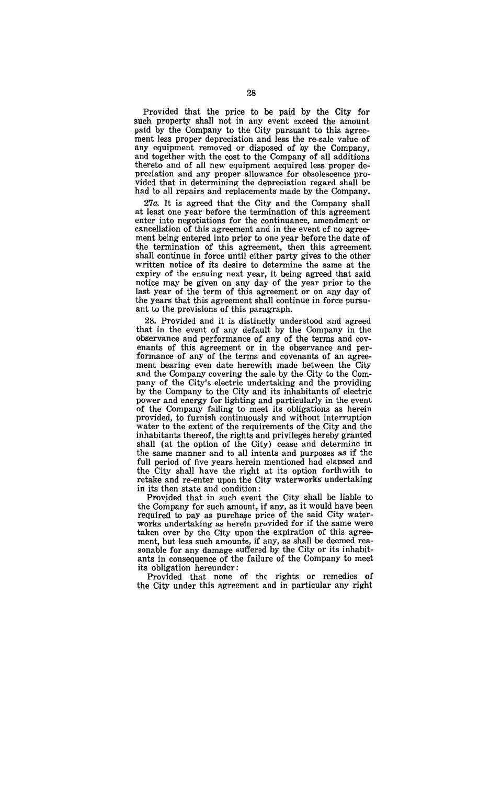Provided that the price to be paid by the City for such property shall not in any event exceed the amount paid by the Company to the City pursuant to this agreement less proper depreciation and less the re-sale value of any equipment removed or disposed of by the Company, and together with the cost to the Company of all additions thereto and of all new equipment acquired less proper depreciation and any proper allowance for obsolescence provided that in determining the depreciation regard shall be had to all repairs and replacements made by the Company.

*27a.* It is agreed that the City and the Company shall at least one year before the termination of this agreement enter into negotiations for the continuance, amendment or cancellation of this agreement and in the event of no agreement being entered into prior to one year before the date of the termination of this agreement, then this agreement shall continue in force until either party gives to the other written notice of its desire to determine the same at the expiry of the ensuing next year, it being agreed that said notice may be given on any day of the year prior to the last year of the term of this agreement or on any day of the years that this agreement shall continue in force pursuant to the provisions of this paragraph.

28. Provided and it is distinctly understood and agreed that in the event of any default by the Company in the observance and performance of any of the terms and covenants of this agreement or in the observance and performance of any of the terms and covenants of an agreement bearing even date herewith made between the City and the Company covering the sale by the City to the Company of the City's electric undertaking and the providing by the Company to the City and its inhabitants of electric power and energy for lighting and particularly in the event of the Company failing to meet its obligations as herein provided, to furnish continuously and without interruption water to the extent of the requirements of the City and the inhabitants thereof, the rights and privileges hereby granted shall (at the option of the City) cease and determine in the same manner and to all intents and purposes as if the full period of five years herein mentioned had elapsed and the City shall have the right at its option forthwith to retake and re-enter upon the City waterworks' undertaking in its then state and condition:

Provided that in such event the City shall be liable to the Company for such amount, if any, as it would have been required to pay as purchase price of the said City waterworks undertaking as herein provided for if the same were taken over by the City upon the expiration of this agreement, but less such amounts, if any, as shall be deemed reasonable for any damage suffered by the City or its inhabitants in consequence of the failure of the Company to meet its obligation hereunder:

Provided that none of the rights or remedies of the City under this agreement and in particular any right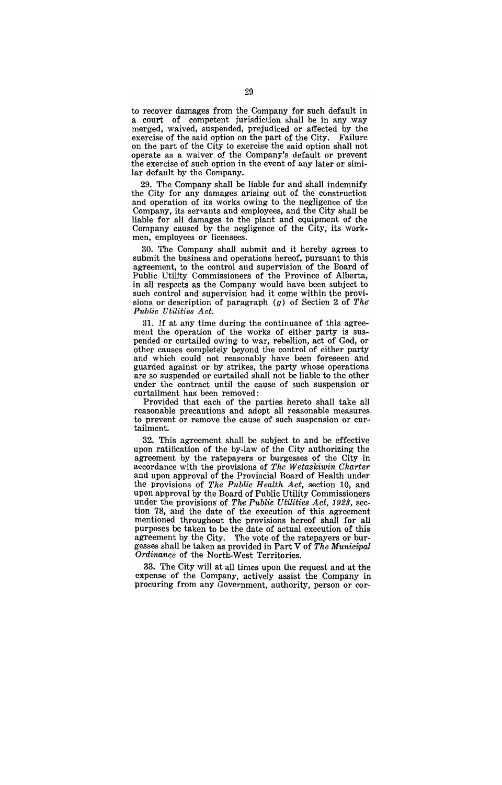to recover damages from the Company for such default in a court of competent jurisdiction shall be in any way merged, waived, suspended, prejudiced or affected by the exercise of the said ontion on the part of the City. Failure exercise of the said option on the part of the City. on the part of the City to exercise the said option shall not operate as a waiver of the Company's default or prevent the exercise of such option in the event of any later or similar default by the Company.

29. The Company shall be liable for and shall indemnify the City for any damages arising out of the construction and operation of its works owing to the negligence of the Company, its servants and employees, and the City shall be liable for all damages to the plant and equipment of the Company caused by the negligence of the City, its workmen, employees or licensees.

30. The Company shall submit and it hereby agrees to submit the business and operations hereof, pursuant to this agreement, to the control and supervision of the Board of Public Utility Commissioners of the Province of Alberta, in all respects as the Company would have been subject to such control and supervision had it come within the provisions or description of paragraph (g) of Section 2 of *The Public Utilities Act.* 

31. If at any time during the continuance of this agreement the operation of the works of either party is suspended or curtailed owing to war, rebellion, act of God, or other causes completely beyond the control of either party and which could not reasonably have been foreseen and guarded against or by strikes, the party whose operations are so suspended or curtailed shall not be liable to the other under the contract until the cause of such suspension or curtailment has been removed:

Provided that each of the parties hereto shall take all reasonable precautions and adopt all reasonable measures to prevent or remove the cause of such suspension or curtailment.

32. This agreement shall be subject to and be effective upon ratification of the by-law of the City authorizing the agreement by the ratepayers or burgesses of the City in accordance with the provisions of *The Wetaskiwin Charter*  and upon approval of the Provincial Board of Health under the provisions of *The Public Health Act,* section 10, and upon approval by the Board of Public Utility Commissioners under the provisions of *The Public Utilities Act, 1923*, section 78, and the date of the execution of this agreement mentioned throughout the provisions hereof shall for all purposes be taken to be the date of actual execution of this agreement by the City. The vote of the ratepayers or burgesses shall be taken as provided in Part V of *The Municipal Ordinance* of the North-West Territories.

33. The City will at all times upon the request and at the expense of the Company, actively assist the Company in procuring from any Government, authority, person or cor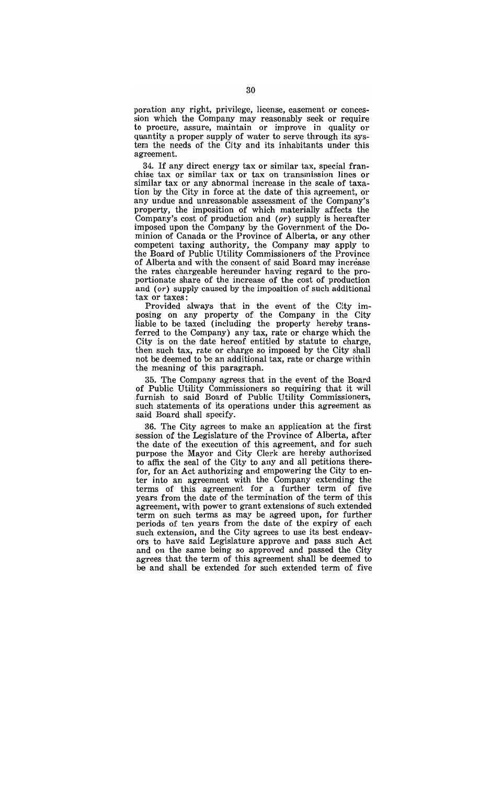poration any right, privilege, license, easement or concession which the Company may reasonably seek or require to procure, assure, maintain or improve in quality or quantity a proper supply of water to serve through its system the needs of the City and its inhabitants under this agreement.

34. If any direct energy tax or similar tax, special franchise tax or similar tax or tax on transmission lines or similar tax or any abnormal increase in the scale of taxation by the City in force at the date of this agreement, or any undue and unreasonable assessment of the Company's property, the imposition of which materially affects the Company's cost of production and  $(or)$  supply is hereafter imposed upon the Company by the Government of the Dominion of Canada or the Province of Alberta, or any other competent taxing authority, the Company may apply to the Board of Public Utility Commissioners of the Province of Alberta and with the consent of said Board may increase the rates chargeable hereunder having regard to the proportionate share of the increase of the cost of produetion and  $(or)$  supply caused by the imposition of such additional tax or taxes:

Provided always that in the event of the City imposing on any property of the Company in the City liable to be taxed (including the property hereby transferred to the Company) any tax, rate or charge which the City is on the date hereof entitled by statute to charge, then such tax, rate or charge so imposed by the City shall not be deemed to be an additional tax, rate or charge within the meaning of this paragraph.

35. The Company agrees' that in the event of the Board of Public Utility Commissioners so requiring that it will ·furnish to said Board of Publie Utility Commissioners, such statements of its operations under this agreement as said Board shall specify.

36. The City agrees to make an application at the first session of the Legislature of the Province of Alberta, after the date of the execution of this agreement, and for such purpose the Mayor and City Clerk are hereby authorized to affix the seal of the City to any and all petitions therefor, for an Act authorizing and empowering the City to enter into an agreement with the Company extending the terms of this agreement for a further term of five years from the date of the termination of the term of this agreement, with power to grant extensions of such extended term on such terms as may be agreed upon, for further periods of ten years from the date of the expiry of each such extension, and the City agrees to use its best endeavors to have said Legislature approve and pass such Act and on the same being so approved and passed the City agrees that the term of this agreement shall be deemed to be and shall be extended for sueh extended term of five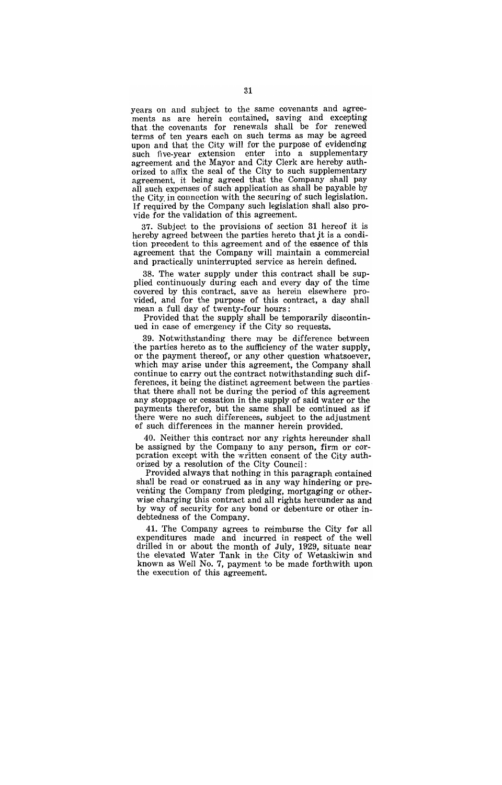years on and subject to the same covenants and agreements as are herein contained, saving and excepting that. the covenants for renewals shall be for renewed terms of ten years each on such terms as may be agreed upon and that the City will for the purpose of evidencing such five-year extension enter into a supplementary agreement and the Mayor and City Clerk are hereby authorized to affix the seal of the City to such supplementary agreement, it being agreed that the Company shall pay all such expenses of such application as shall be payable by the City. in connection with the securing of such legislation. If required by the Company such legislation shall also provide for the validation of this agreement.

37. Subject to the provisions of section 31 hereof it is hereby agreed between the parties hereto that jt is a condition precedent to this agreement and of the essence of this agreement that the Company will maintain a commercial and practically uninterrupted service as herein defined.

38. The water supply under this contract shall be supplied continuously during each and every day of the time covered by this contract, save as herein elsewhere provided, and for the purpose of this contract, a day shall mean a full day of twenty-four hours:

Provided that the supply shall be temporarily discontinued in case of emergency if the City so requests.

. 39. Notwithstanding there may be difference between the parties hereto as to the sufficiency of the water supply, or the payment thereof, or any other question whatsoever, which may arise under this agreement, the Company shall continue to carry out the contract notwithstanding such differences, it being the distinct agreement between the parties . that there shall not be during the period of this agreement any stoppage or cessation in the supply of said water or the payments therefor, but the same shall be continued as if there were no such differences, subject to the adjustment of such differences in the manner herein provided.

40. Neither this contract nor any rights hereunder shall be assigned by the Company to any person, firm or corporation except with the written consent of the City authorized by a resolution of the City Council:

Provided always that nothing in this paragraph contained shall be read or construed as in any way hindering or preventing the Company from pledging, mortgaging or otherwise charging this contract and all rights hereunder as and by way of security for any bond or debenture or other indebtedness of the Company.

41. The Company agrees to reimburse the City for all expenditures made and incurred in respect of the well drilled in or about the month of July, 1929, situate near the elevated Water Tank in the City of Wetaskiwin and known as Well No.7, payment to be made forthwith upon the execution of this agreement.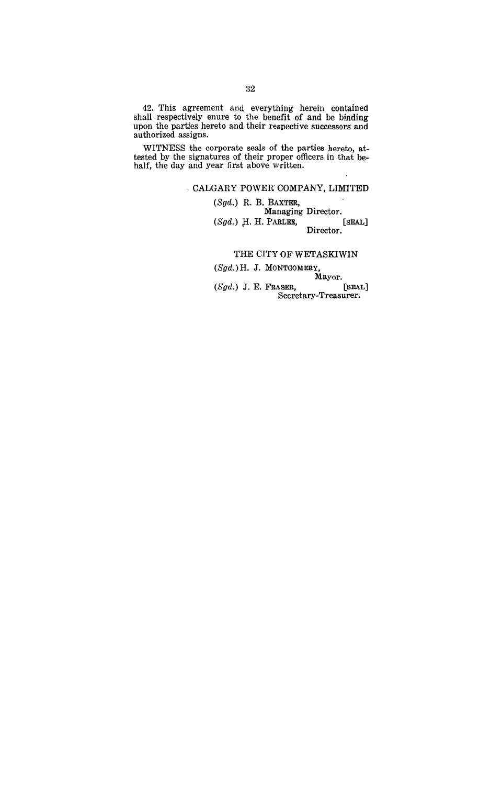42. This agreement and everything herein contained shall respectively enure to the benefit of and be binding upon the parties hereto and their respective successors and authorized assigns.

WITNESS the corporate seals of the parties hereto, attested by the signatures of their proper officers in that behalf, the day and year first above written.

## , CALGARY POWER COMPANY, LIMITED

 $(Sgd.)$  R. B. BAXTER, Managing Director.  $(Sgd.)$  H. H. PARLEE, [SEAL] Director.

#### THE CITY OF WETASKIWIN

(Sgd.) H. J. MONTGOMERY,

Mayor. (Sgd.) J. E. FRASER, [SEAL] Secretary-Treasurer ..